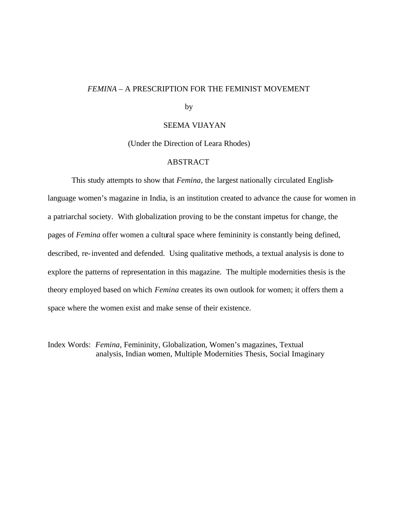## *FEMINA* – A PRESCRIPTION FOR THE FEMINIST MOVEMENT

by

## SEEMA VIJAYAN

(Under the Direction of Leara Rhodes)

## ABSTRACT

This study attempts to show that *Femina*, the largest nationally circulated Englishlanguage women's magazine in India, is an institution created to advance the cause for women in a patriarchal society. With globalization proving to be the constant impetus for change, the pages of *Femina* offer women a cultural space where femininity is constantly being defined, described, re-invented and defended. Using qualitative methods, a textual analysis is done to explore the patterns of representation in this magazine. The multiple modernities thesis is the theory employed based on which *Femina* creates its own outlook for women; it offers them a space where the women exist and make sense of their existence.

Index Words: *Femina*, Femininity, Globalization, Women's magazines, Textual analysis, Indian women, Multiple Modernities Thesis, Social Imaginary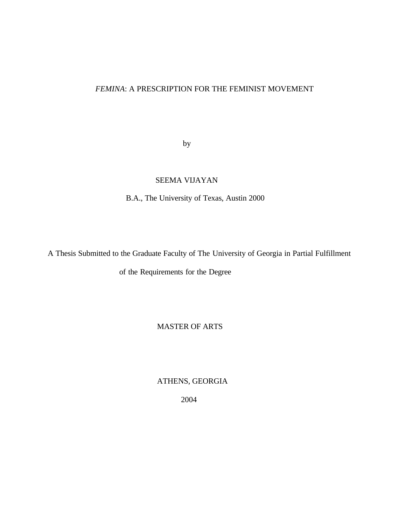## *FEMINA*: A PRESCRIPTION FOR THE FEMINIST MOVEMENT

by

# SEEMA VIJAYAN

B.A., The University of Texas, Austin 2000

A Thesis Submitted to the Graduate Faculty of The University of Georgia in Partial Fulfillment

of the Requirements for the Degree

## MASTER OF ARTS

ATHENS, GEORGIA

2004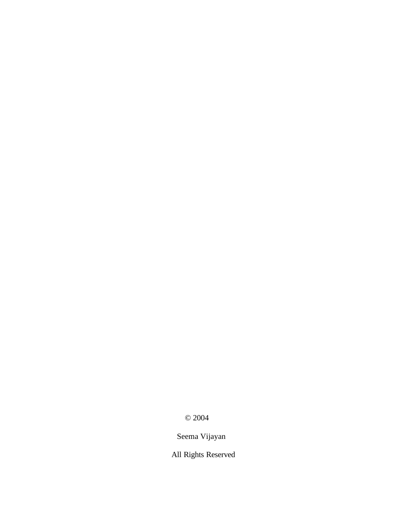© 2004

Seema Vijayan

All Rights Reserved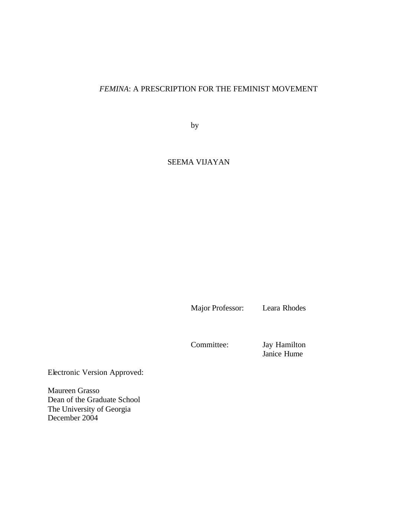# *FEMINA*: A PRESCRIPTION FOR THE FEMINIST MOVEMENT

by

## SEEMA VIJAYAN

Major Professor: Leara Rhodes

Committee: Jay Hamilton Janice Hume

Electronic Version Approved:

Maureen Grasso Dean of the Graduate School The University of Georgia December 2004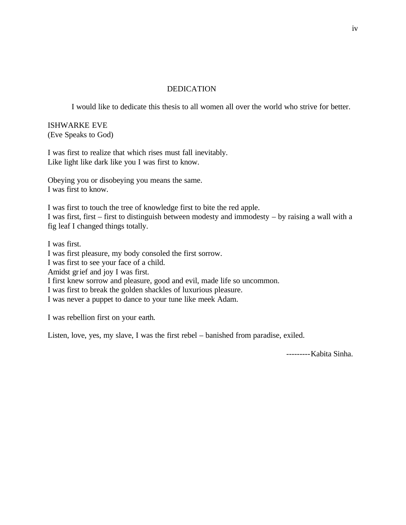## DEDICATION

I would like to dedicate this thesis to all women all over the world who strive for better.

ISHWARKE EVE (Eve Speaks to God)

I was first to realize that which rises must fall inevitably. Like light like dark like you I was first to know.

Obeying you or disobeying you means the same. I was first to know.

I was first to touch the tree of knowledge first to bite the red apple. I was first, first – first to distinguish between modesty and immodesty – by raising a wall with a fig leaf I changed things totally.

I was first. I was first pleasure, my body consoled the first sorrow. I was first to see your face of a child. Amidst grief and joy I was first. I first knew sorrow and pleasure, good and evil, made life so uncommon. I was first to break the golden shackles of luxurious pleasure. I was never a puppet to dance to your tune like meek Adam.

I was rebellion first on your earth.

Listen, love, yes, my slave, I was the first rebel – banished from paradise, exiled.

---------Kabita Sinha.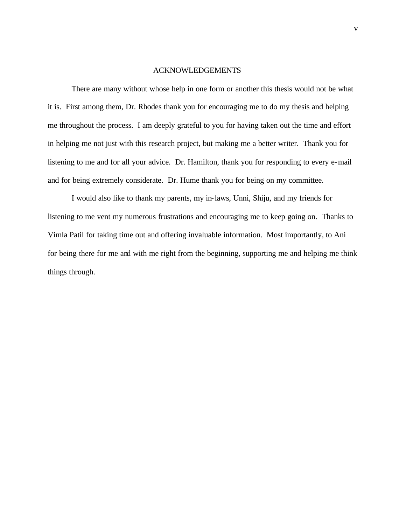### ACKNOWLEDGEMENTS

There are many without whose help in one form or another this thesis would not be what it is. First among them, Dr. Rhodes thank you for encouraging me to do my thesis and helping me throughout the process. I am deeply grateful to you for having taken out the time and effort in helping me not just with this research project, but making me a better writer. Thank you for listening to me and for all your advice. Dr. Hamilton, thank you for responding to every e-mail and for being extremely considerate. Dr. Hume thank you for being on my committee.

I would also like to thank my parents, my in-laws, Unni, Shiju, and my friends for listening to me vent my numerous frustrations and encouraging me to keep going on. Thanks to Vimla Patil for taking time out and offering invaluable information. Most importantly, to Ani for being there for me and with me right from the beginning, supporting me and helping me think things through.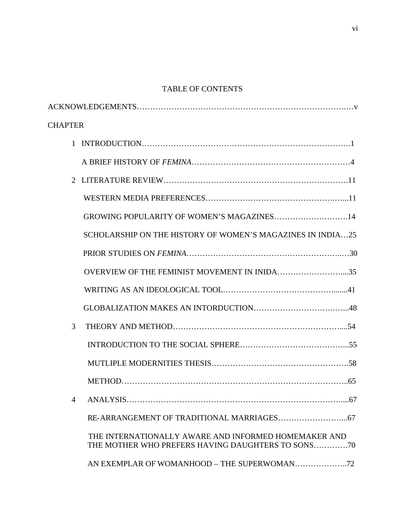# TABLE OF CONTENTS

| <b>CHAPTER</b> |                                                                                                           |
|----------------|-----------------------------------------------------------------------------------------------------------|
|                |                                                                                                           |
|                |                                                                                                           |
|                |                                                                                                           |
|                |                                                                                                           |
|                | GROWING POPULARITY OF WOMEN'S MAGAZINES14                                                                 |
|                | SCHOLARSHIP ON THE HISTORY OF WOMEN'S MAGAZINES IN INDIA25                                                |
|                |                                                                                                           |
|                | OVERVIEW OF THE FEMINIST MOVEMENT IN INIDA35                                                              |
|                |                                                                                                           |
|                |                                                                                                           |
| 3              |                                                                                                           |
|                |                                                                                                           |
|                |                                                                                                           |
|                |                                                                                                           |
|                | 4 ANALYSIS                                                                                                |
|                |                                                                                                           |
|                | THE INTERNATIONALLY AWARE AND INFORMED HOMEMAKER AND<br>THE MOTHER WHO PREFERS HAVING DAUGHTERS TO SONS70 |
|                |                                                                                                           |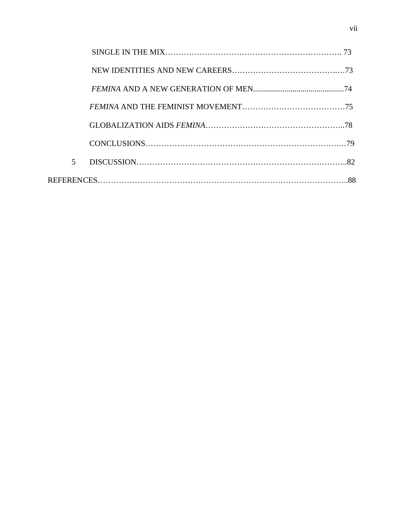| $\overline{5}$ |  |  |  |
|----------------|--|--|--|
|                |  |  |  |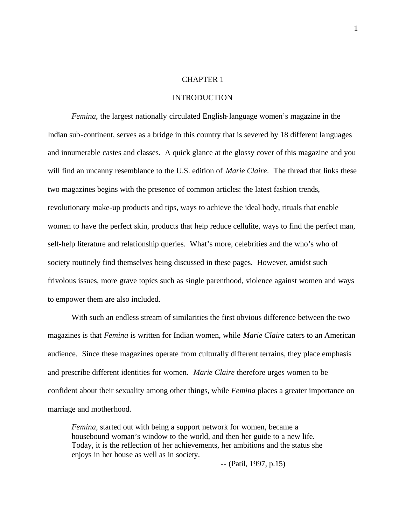### CHAPTER 1

### INTRODUCTION

*Femina*, the largest nationally circulated English-language women's magazine in the Indian sub-continent, serves as a bridge in this country that is severed by 18 different languages and innumerable castes and classes. A quick glance at the glossy cover of this magazine and you will find an uncanny resemblance to the U.S. edition of *Marie Claire*. The thread that links these two magazines begins with the presence of common articles: the latest fashion trends, revolutionary make-up products and tips, ways to achieve the ideal body, rituals that enable women to have the perfect skin, products that help reduce cellulite, ways to find the perfect man, self-help literature and relationship queries. What's more, celebrities and the who's who of society routinely find themselves being discussed in these pages. However, amidst such frivolous issues, more grave topics such as single parenthood, violence against women and ways to empower them are also included.

With such an endless stream of similarities the first obvious difference between the two magazines is that *Femina* is written for Indian women, while *Marie Claire* caters to an American audience. Since these magazines operate from culturally different terrains, they place emphasis and prescribe different identities for women. *Marie Claire* therefore urges women to be confident about their sexuality among other things, while *Femina* places a greater importance on marriage and motherhood.

*Femina*, started out with being a support network for women, became a housebound woman's window to the world, and then her guide to a new life. Today, it is the reflection of her achievements, her ambitions and the status she enjoys in her house as well as in society.

-- (Patil, 1997, p.15)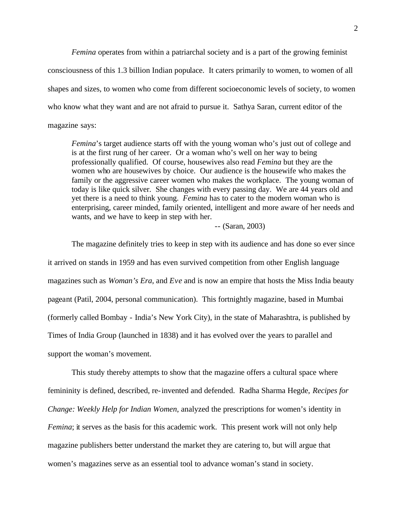*Femina* operates from within a patriarchal society and is a part of the growing feminist consciousness of this 1.3 billion Indian populace. It caters primarily to women, to women of all shapes and sizes, to women who come from different socioeconomic levels of society, to women who know what they want and are not afraid to pursue it. Sathya Saran, current editor of the magazine says:

*Femina*'s target audience starts off with the young woman who's just out of college and is at the first rung of her career. Or a woman who's well on her way to being professionally qualified. Of course, housewives also read *Femina* but they are the women who are housewives by choice. Our audience is the housewife who makes the family or the aggressive career women who makes the workplace. The young woman of today is like quick silver. She changes with every passing day. We are 44 years old and yet there is a need to think young. *Femina* has to cater to the modern woman who is enterprising, career minded, family oriented, intelligent and more aware of her needs and wants, and we have to keep in step with her.

-- (Saran, 2003)

The magazine definitely tries to keep in step with its audience and has done so ever since it arrived on stands in 1959 and has even survived competition from other English language magazines such as *Woman's Era*, and *Eve* and is now an empire that hosts the Miss India beauty pageant (Patil, 2004, personal communication). This fortnightly magazine, based in Mumbai (formerly called Bombay - India's New York City), in the state of Maharashtra, is published by Times of India Group (launched in 1838) and it has evolved over the years to parallel and support the woman's movement.

This study thereby attempts to show that the magazine offers a cultural space where femininity is defined, described, re-invented and defended. Radha Sharma Hegde, *Recipes for Change: Weekly Help for Indian Women*, analyzed the prescriptions for women's identity in *Femina*; it serves as the basis for this academic work. This present work will not only help magazine publishers better understand the market they are catering to, but will argue that women's magazines serve as an essential tool to advance woman's stand in society.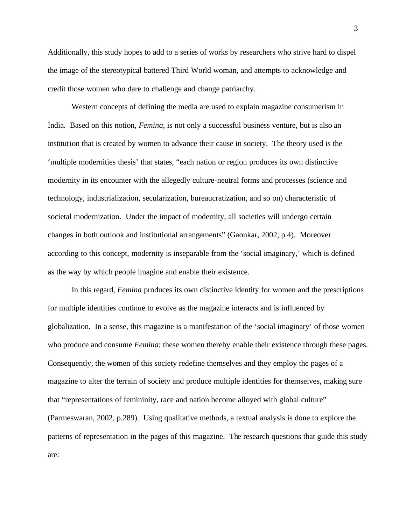Additionally, this study hopes to add to a series of works by researchers who strive hard to dispel the image of the stereotypical battered Third World woman, and attempts to acknowledge and credit those women who dare to challenge and change patriarchy.

Western concepts of defining the media are used to explain magazine consumerism in India. Based on this notion, *Femina*, is not only a successful business venture, but is also an institution that is created by women to advance their cause in society. The theory used is the 'multiple modernities thesis' that states, "each nation or region produces its own distinctive modernity in its encounter with the allegedly culture-neutral forms and processes (science and technology, industrialization, secularization, bureaucratization, and so on) characteristic of societal modernization. Under the impact of modernity, all societies will undergo certain changes in both outlook and institutional arrangements" (Gaonkar, 2002, p.4). Moreover according to this concept, modernity is inseparable from the 'social imaginary,' which is defined as the way by which people imagine and enable their existence.

In this regard, *Femina* produces its own distinctive identity for women and the prescriptions for multiple identities continue to evolve as the magazine interacts and is influenced by globalization. In a sense, this magazine is a manifestation of the 'social imaginary' of those women who produce and consume *Femina*; these women thereby enable their existence through these pages. Consequently, the women of this society redefine themselves and they employ the pages of a magazine to alter the terrain of society and produce multiple identities for themselves, making sure that "representations of femininity, race and nation become alloyed with global culture" (Parmeswaran, 2002, p.289). Using qualitative methods, a textual analysis is done to explore the patterns of representation in the pages of this magazine. The research questions that guide this study are: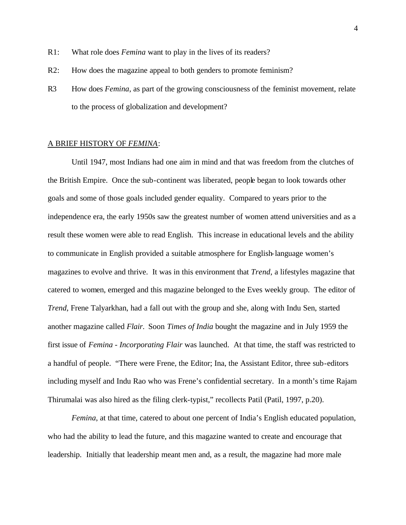- R1: What role does *Femina* want to play in the lives of its readers?
- R2: How does the magazine appeal to both genders to promote feminism?
- R3 How does *Femina*, as part of the growing consciousness of the feminist movement, relate to the process of globalization and development?

### A BRIEF HISTORY OF *FEMINA*:

Until 1947, most Indians had one aim in mind and that was freedom from the clutches of the British Empire. Once the sub-continent was liberated, people began to look towards other goals and some of those goals included gender equality. Compared to years prior to the independence era, the early 1950s saw the greatest number of women attend universities and as a result these women were able to read English. This increase in educational levels and the ability to communicate in English provided a suitable atmosphere for English-language women's magazines to evolve and thrive. It was in this environment that *Trend*, a lifestyles magazine that catered to women, emerged and this magazine belonged to the Eves weekly group. The editor of *Trend*, Frene Talyarkhan, had a fall out with the group and she, along with Indu Sen, started another magazine called *Flair*. Soon *Times of India* bought the magazine and in July 1959 the first issue of *Femina - Incorporating Flair* was launched. At that time, the staff was restricted to a handful of people. "There were Frene, the Editor; Ina, the Assistant Editor, three sub-editors including myself and Indu Rao who was Frene's confidential secretary. In a month's time Rajam Thirumalai was also hired as the filing clerk-typist," recollects Patil (Patil, 1997, p.20).

*Femina*, at that time, catered to about one percent of India's English educated population, who had the ability to lead the future, and this magazine wanted to create and encourage that leadership. Initially that leadership meant men and, as a result, the magazine had more male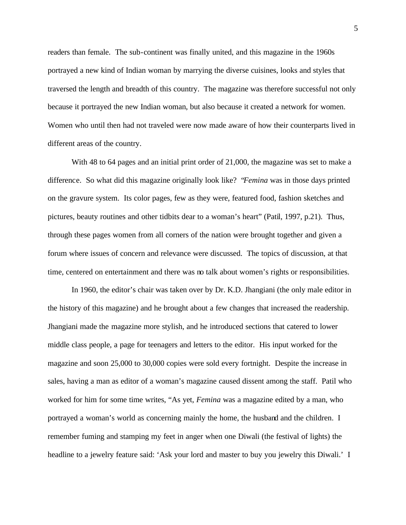readers than female. The sub-continent was finally united, and this magazine in the 1960s portrayed a new kind of Indian woman by marrying the diverse cuisines, looks and styles that traversed the length and breadth of this country. The magazine was therefore successful not only because it portrayed the new Indian woman, but also because it created a network for women. Women who until then had not traveled were now made aware of how their counterparts lived in different areas of the country.

With 48 to 64 pages and an initial print order of 21,000, the magazine was set to make a difference. So what did this magazine originally look like? "*Femina* was in those days printed on the gravure system. Its color pages, few as they were, featured food, fashion sketches and pictures, beauty routines and other tidbits dear to a woman's heart" (Patil, 1997, p.21). Thus, through these pages women from all corners of the nation were brought together and given a forum where issues of concern and relevance were discussed. The topics of discussion, at that time, centered on entertainment and there was no talk about women's rights or responsibilities.

In 1960, the editor's chair was taken over by Dr. K.D. Jhangiani (the only male editor in the history of this magazine) and he brought about a few changes that increased the readership. Jhangiani made the magazine more stylish, and he introduced sections that catered to lower middle class people, a page for teenagers and letters to the editor. His input worked for the magazine and soon 25,000 to 30,000 copies were sold every fortnight. Despite the increase in sales, having a man as editor of a woman's magazine caused dissent among the staff. Patil who worked for him for some time writes, "As yet, *Femina* was a magazine edited by a man, who portrayed a woman's world as concerning mainly the home, the husband and the children. I remember fuming and stamping my feet in anger when one Diwali (the festival of lights) the headline to a jewelry feature said: 'Ask your lord and master to buy you jewelry this Diwali.' I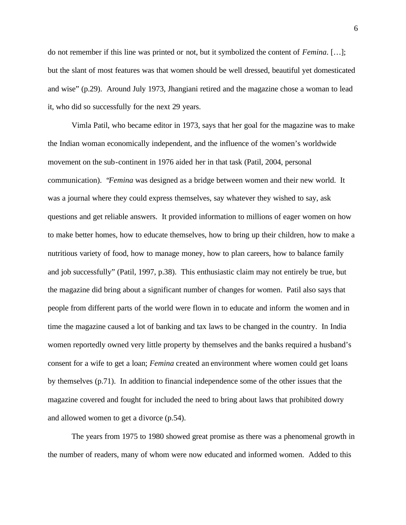do not remember if this line was printed or not, but it symbolized the content of *Femina*. […]; but the slant of most features was that women should be well dressed, beautiful yet domesticated and wise" (p.29). Around July 1973, Jhangiani retired and the magazine chose a woman to lead it, who did so successfully for the next 29 years.

Vimla Patil, who became editor in 1973, says that her goal for the magazine was to make the Indian woman economically independent, and the influence of the women's worldwide movement on the sub-continent in 1976 aided her in that task (Patil, 2004, personal communication). "*Femina* was designed as a bridge between women and their new world. It was a journal where they could express themselves, say whatever they wished to say, ask questions and get reliable answers. It provided information to millions of eager women on how to make better homes, how to educate themselves, how to bring up their children, how to make a nutritious variety of food, how to manage money, how to plan careers, how to balance family and job successfully" (Patil, 1997, p.38). This enthusiastic claim may not entirely be true, but the magazine did bring about a significant number of changes for women. Patil also says that people from different parts of the world were flown in to educate and inform the women and in time the magazine caused a lot of banking and tax laws to be changed in the country. In India women reportedly owned very little property by themselves and the banks required a husband's consent for a wife to get a loan; *Femina* created an environment where women could get loans by themselves (p.71). In addition to financial independence some of the other issues that the magazine covered and fought for included the need to bring about laws that prohibited dowry and allowed women to get a divorce (p.54).

The years from 1975 to 1980 showed great promise as there was a phenomenal growth in the number of readers, many of whom were now educated and informed women. Added to this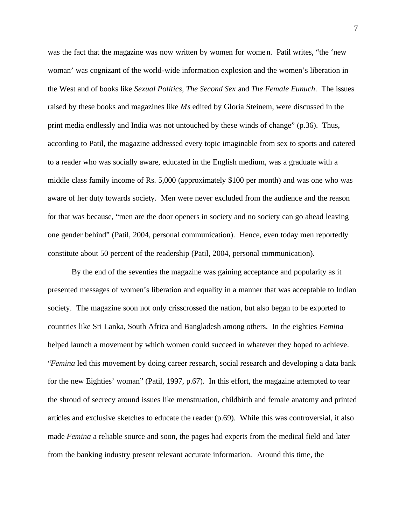was the fact that the magazine was now written by women for women. Patil writes, "the 'new woman' was cognizant of the world-wide information explosion and the women's liberation in the West and of books like *Sexual Politics*, *The Second Sex* and *The Female Eunuch*. The issues raised by these books and magazines like *Ms* edited by Gloria Steinem, were discussed in the print media endlessly and India was not untouched by these winds of change" (p.36). Thus, according to Patil, the magazine addressed every topic imaginable from sex to sports and catered to a reader who was socially aware, educated in the English medium, was a graduate with a middle class family income of Rs. 5,000 (approximately \$100 per month) and was one who was aware of her duty towards society. Men were never excluded from the audience and the reason for that was because, "men are the door openers in society and no society can go ahead leaving one gender behind" (Patil, 2004, personal communication). Hence, even today men reportedly constitute about 50 percent of the readership (Patil, 2004, personal communication).

By the end of the seventies the magazine was gaining acceptance and popularity as it presented messages of women's liberation and equality in a manner that was acceptable to Indian society. The magazine soon not only crisscrossed the nation, but also began to be exported to countries like Sri Lanka, South Africa and Bangladesh among others. In the eighties *Femina* helped launch a movement by which women could succeed in whatever they hoped to achieve. "*Femina* led this movement by doing career research, social research and developing a data bank for the new Eighties' woman" (Patil, 1997, p.67). In this effort, the magazine attempted to tear the shroud of secrecy around issues like menstruation, childbirth and female anatomy and printed articles and exclusive sketches to educate the reader (p.69). While this was controversial, it also made *Femina* a reliable source and soon, the pages had experts from the medical field and later from the banking industry present relevant accurate information. Around this time, the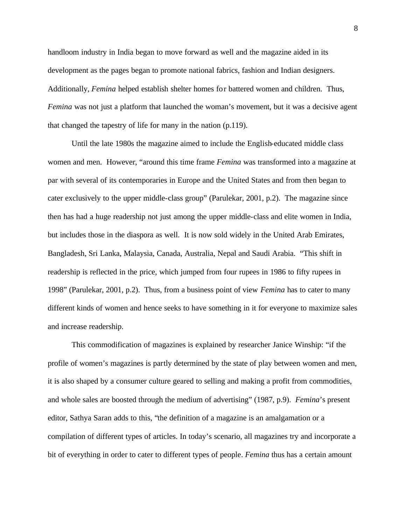handloom industry in India began to move forward as well and the magazine aided in its development as the pages began to promote national fabrics, fashion and Indian designers. Additionally, *Femina* helped establish shelter homes for battered women and children. Thus, *Femina* was not just a platform that launched the woman's movement, but it was a decisive agent that changed the tapestry of life for many in the nation (p.119).

Until the late 1980s the magazine aimed to include the English-educated middle class women and men. However, "around this time frame *Femina* was transformed into a magazine at par with several of its contemporaries in Europe and the United States and from then began to cater exclusively to the upper middle-class group" (Parulekar, 2001, p.2). The magazine since then has had a huge readership not just among the upper middle-class and elite women in India, but includes those in the diaspora as well. It is now sold widely in the United Arab Emirates, Bangladesh, Sri Lanka, Malaysia, Canada, Australia, Nepal and Saudi Arabia. "This shift in readership is reflected in the price, which jumped from four rupees in 1986 to fifty rupees in 1998" (Parulekar, 2001, p.2). Thus, from a business point of view *Femina* has to cater to many different kinds of women and hence seeks to have something in it for everyone to maximize sales and increase readership.

This commodification of magazines is explained by researcher Janice Winship: "if the profile of women's magazines is partly determined by the state of play between women and men, it is also shaped by a consumer culture geared to selling and making a profit from commodities, and whole sales are boosted through the medium of advertising" (1987, p.9). *Femina*'s present editor, Sathya Saran adds to this, "the definition of a magazine is an amalgamation or a compilation of different types of articles. In today's scenario, all magazines try and incorporate a bit of everything in order to cater to different types of people. *Femina* thus has a certain amount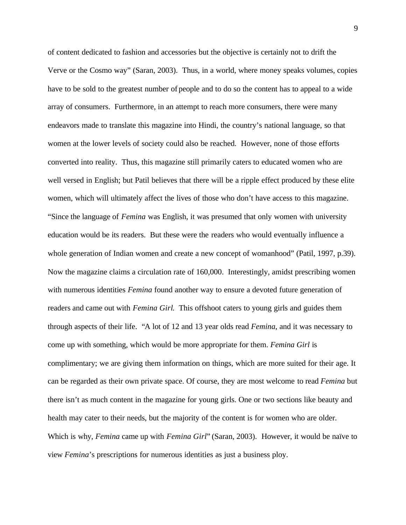of content dedicated to fashion and accessories but the objective is certainly not to drift the Verve or the Cosmo way" (Saran, 2003). Thus, in a world, where money speaks volumes, copies have to be sold to the greatest number of people and to do so the content has to appeal to a wide array of consumers. Furthermore, in an attempt to reach more consumers, there were many endeavors made to translate this magazine into Hindi, the country's national language, so that women at the lower levels of society could also be reached. However, none of those efforts converted into reality. Thus, this magazine still primarily caters to educated women who are well versed in English; but Patil believes that there will be a ripple effect produced by these elite women, which will ultimately affect the lives of those who don't have access to this magazine. "Since the language of *Femina* was English, it was presumed that only women with university education would be its readers. But these were the readers who would eventually influence a whole generation of Indian women and create a new concept of womanhood" (Patil, 1997, p.39). Now the magazine claims a circulation rate of 160,000. Interestingly, amidst prescribing women with numerous identities *Femina* found another way to ensure a devoted future generation of readers and came out with *Femina Girl*. This offshoot caters to young girls and guides them through aspects of their life. "A lot of 12 and 13 year olds read *Femina*, and it was necessary to come up with something, which would be more appropriate for them. *Femina Girl* is complimentary; we are giving them information on things, which are more suited for their age. It can be regarded as their own private space. Of course, they are most welcome to read *Femina* but there isn't as much content in the magazine for young girls. One or two sections like beauty and health may cater to their needs, but the majority of the content is for women who are older. Which is why, *Femina* came up with *Femina Girl*" (Saran, 2003). However, it would be naïve to view *Femina*'s prescriptions for numerous identities as just a business ploy.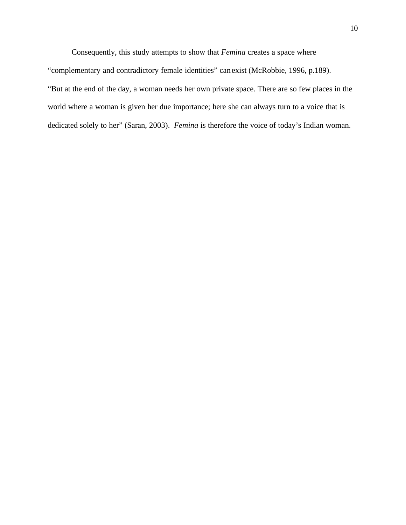Consequently, this study attempts to show that *Femina* creates a space where "complementary and contradictory female identities" can exist (McRobbie, 1996, p.189). "But at the end of the day, a woman needs her own private space. There are so few places in the world where a woman is given her due importance; here she can always turn to a voice that is dedicated solely to her" (Saran, 2003). *Femina* is therefore the voice of today's Indian woman.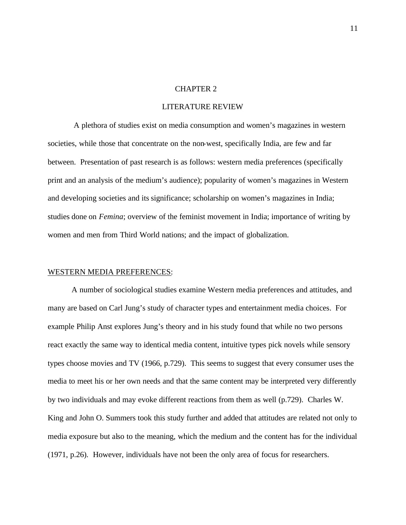### CHAPTER 2

#### LITERATURE REVIEW

 A plethora of studies exist on media consumption and women's magazines in western societies, while those that concentrate on the non-west, specifically India, are few and far between. Presentation of past research is as follows: western media preferences (specifically print and an analysis of the medium's audience); popularity of women's magazines in Western and developing societies and its significance; scholarship on women's magazines in India; studies done on *Femina*; overview of the feminist movement in India; importance of writing by women and men from Third World nations; and the impact of globalization.

### WESTERN MEDIA PREFERENCES:

A number of sociological studies examine Western media preferences and attitudes, and many are based on Carl Jung's study of character types and entertainment media choices. For example Philip Anst explores Jung's theory and in his study found that while no two persons react exactly the same way to identical media content, intuitive types pick novels while sensory types choose movies and TV (1966, p.729). This seems to suggest that every consumer uses the media to meet his or her own needs and that the same content may be interpreted very differently by two individuals and may evoke different reactions from them as well (p.729). Charles W. King and John O. Summers took this study further and added that attitudes are related not only to media exposure but also to the meaning, which the medium and the content has for the individual (1971, p.26). However, individuals have not been the only area of focus for researchers.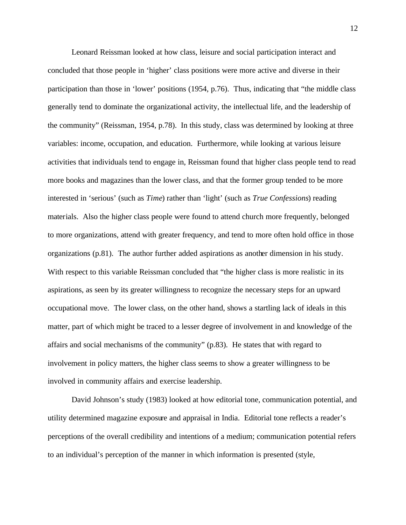Leonard Reissman looked at how class, leisure and social participation interact and concluded that those people in 'higher' class positions were more active and diverse in their participation than those in 'lower' positions (1954, p.76). Thus, indicating that "the middle class generally tend to dominate the organizational activity, the intellectual life, and the leadership of the community" (Reissman, 1954, p.78). In this study, class was determined by looking at three variables: income, occupation, and education. Furthermore, while looking at various leisure activities that individuals tend to engage in, Reissman found that higher class people tend to read more books and magazines than the lower class, and that the former group tended to be more interested in 'serious' (such as *Time*) rather than 'light' (such as *True Confessions*) reading materials. Also the higher class people were found to attend church more frequently, belonged to more organizations, attend with greater frequency, and tend to more often hold office in those organizations (p.81). The author further added aspirations as another dimension in his study. With respect to this variable Reissman concluded that "the higher class is more realistic in its aspirations, as seen by its greater willingness to recognize the necessary steps for an upward occupational move. The lower class, on the other hand, shows a startling lack of ideals in this matter, part of which might be traced to a lesser degree of involvement in and knowledge of the affairs and social mechanisms of the community" (p.83). He states that with regard to involvement in policy matters, the higher class seems to show a greater willingness to be involved in community affairs and exercise leadership.

David Johnson's study (1983) looked at how editorial tone, communication potential, and utility determined magazine exposure and appraisal in India. Editorial tone reflects a reader's perceptions of the overall credibility and intentions of a medium; communication potential refers to an individual's perception of the manner in which information is presented (style,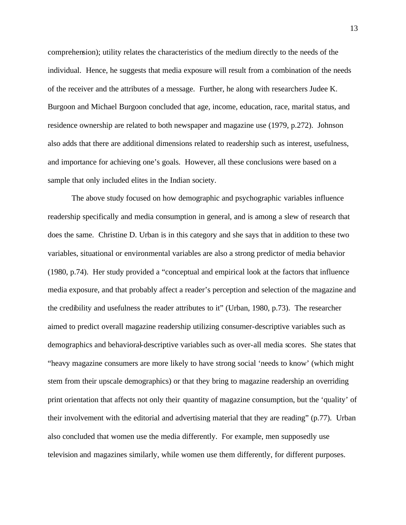comprehension); utility relates the characteristics of the medium directly to the needs of the individual. Hence, he suggests that media exposure will result from a combination of the needs of the receiver and the attributes of a message. Further, he along with researchers Judee K. Burgoon and Michael Burgoon concluded that age, income, education, race, marital status, and residence ownership are related to both newspaper and magazine use (1979, p.272). Johnson also adds that there are additional dimensions related to readership such as interest, usefulness, and importance for achieving one's goals. However, all these conclusions were based on a sample that only included elites in the Indian society.

The above study focused on how demographic and psychographic variables influence readership specifically and media consumption in general, and is among a slew of research that does the same. Christine D. Urban is in this category and she says that in addition to these two variables, situational or environmental variables are also a strong predictor of media behavior (1980, p.74). Her study provided a "conceptual and empirical look at the factors that influence media exposure, and that probably affect a reader's perception and selection of the magazine and the credibility and usefulness the reader attributes to it" (Urban, 1980, p.73). The researcher aimed to predict overall magazine readership utilizing consumer-descriptive variables such as demographics and behavioral-descriptive variables such as over-all media scores. She states that "heavy magazine consumers are more likely to have strong social 'needs to know' (which might stem from their upscale demographics) or that they bring to magazine readership an overriding print orientation that affects not only their quantity of magazine consumption, but the 'quality' of their involvement with the editorial and advertising material that they are reading" (p.77). Urban also concluded that women use the media differently. For example, men supposedly use television and magazines similarly, while women use them differently, for different purposes.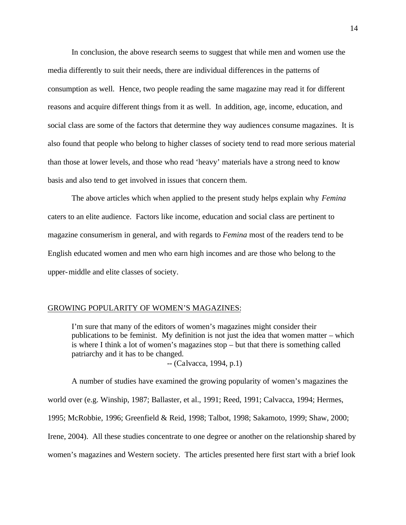In conclusion, the above research seems to suggest that while men and women use the media differently to suit their needs, there are individual differences in the patterns of consumption as well. Hence, two people reading the same magazine may read it for different reasons and acquire different things from it as well. In addition, age, income, education, and social class are some of the factors that determine they way audiences consume magazines. It is also found that people who belong to higher classes of society tend to read more serious material than those at lower levels, and those who read 'heavy' materials have a strong need to know basis and also tend to get involved in issues that concern them.

The above articles which when applied to the present study helps explain why *Femina* caters to an elite audience. Factors like income, education and social class are pertinent to magazine consumerism in general, and with regards to *Femina* most of the readers tend to be English educated women and men who earn high incomes and are those who belong to the upper-middle and elite classes of society.

#### GROWING POPULARITY OF WOMEN'S MAGAZINES:

I'm sure that many of the editors of women's magazines might consider their publications to be feminist. My definition is not just the idea that women matter – which is where I think a lot of women's magazines stop – but that there is something called patriarchy and it has to be changed.

*--* (Calvacca, 1994, p.1)

A number of studies have examined the growing popularity of women's magazines the world over (e.g. Winship, 1987; Ballaster, et al., 1991; Reed, 1991; Calvacca, 1994; Hermes, 1995; McRobbie, 1996; Greenfield & Reid, 1998; Talbot, 1998; Sakamoto, 1999; Shaw, 2000; Irene, 2004). All these studies concentrate to one degree or another on the relationship shared by women's magazines and Western society. The articles presented here first start with a brief look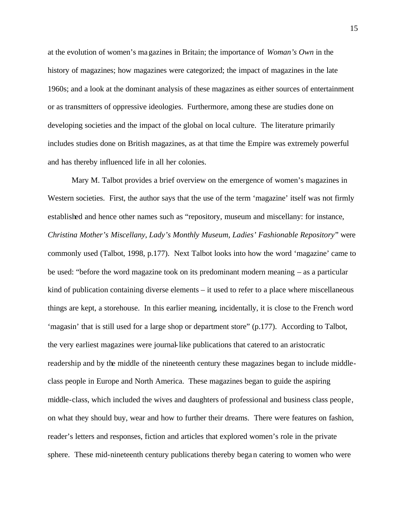at the evolution of women's magazines in Britain; the importance of *Woman's Own* in the history of magazines; how magazines were categorized; the impact of magazines in the late 1960s; and a look at the dominant analysis of these magazines as either sources of entertainment or as transmitters of oppressive ideologies. Furthermore, among these are studies done on developing societies and the impact of the global on local culture. The literature primarily includes studies done on British magazines, as at that time the Empire was extremely powerful and has thereby influenced life in all her colonies.

Mary M. Talbot provides a brief overview on the emergence of women's magazines in Western societies. First, the author says that the use of the term 'magazine' itself was not firmly established and hence other names such as "repository, museum and miscellany: for instance, *Christina Mother's Miscellany*, *Lady's Monthly Museum, Ladies' Fashionable Repository*" were commonly used (Talbot, 1998, p.177). Next Talbot looks into how the word 'magazine' came to be used: "before the word magazine took on its predominant modern meaning – as a particular kind of publication containing diverse elements – it used to refer to a place where miscellaneous things are kept, a storehouse. In this earlier meaning, incidentally, it is close to the French word 'magasin' that is still used for a large shop or department store" (p.177). According to Talbot, the very earliest magazines were journal-like publications that catered to an aristocratic readership and by the middle of the nineteenth century these magazines began to include middleclass people in Europe and North America. These magazines began to guide the aspiring middle-class, which included the wives and daughters of professional and business class people, on what they should buy, wear and how to further their dreams. There were features on fashion, reader's letters and responses, fiction and articles that explored women's role in the private sphere. These mid-nineteenth century publications thereby began catering to women who were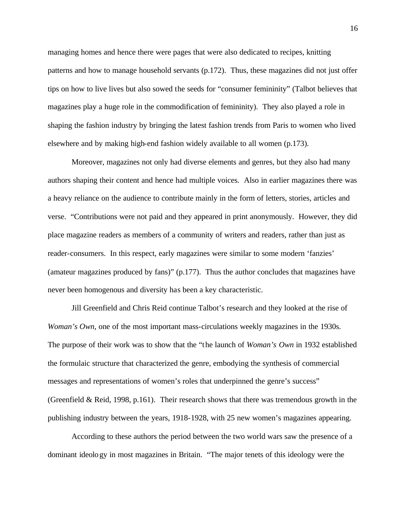managing homes and hence there were pages that were also dedicated to recipes, knitting patterns and how to manage household servants (p.172). Thus, these magazines did not just offer tips on how to live lives but also sowed the seeds for "consumer femininity" (Talbot believes that magazines play a huge role in the commodification of femininity). They also played a role in shaping the fashion industry by bringing the latest fashion trends from Paris to women who lived elsewhere and by making high-end fashion widely available to all women (p.173).

Moreover, magazines not only had diverse elements and genres, but they also had many authors shaping their content and hence had multiple voices. Also in earlier magazines there was a heavy reliance on the audience to contribute mainly in the form of letters, stories, articles and verse. "Contributions were not paid and they appeared in print anonymously. However, they did place magazine readers as members of a community of writers and readers, rather than just as reader-consumers. In this respect, early magazines were similar to some modern 'fanzies' (amateur magazines produced by fans)" (p.177). Thus the author concludes that magazines have never been homogenous and diversity has been a key characteristic.

Jill Greenfield and Chris Reid continue Talbot's research and they looked at the rise of *Woman's Own*, one of the most important mass-circulations weekly magazines in the 1930s. The purpose of their work was to show that the "the launch of *Woman's Own* in 1932 established the formulaic structure that characterized the genre, embodying the synthesis of commercial messages and representations of women's roles that underpinned the genre's success" (Greenfield & Reid, 1998, p.161). Their research shows that there was tremendous growth in the publishing industry between the years, 1918-1928, with 25 new women's magazines appearing.

According to these authors the period between the two world wars saw the presence of a dominant ideology in most magazines in Britain. "The major tenets of this ideology were the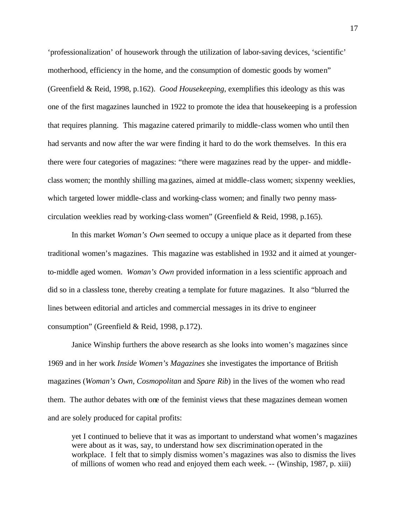'professionalization' of housework through the utilization of labor-saving devices, 'scientific' motherhood, efficiency in the home, and the consumption of domestic goods by women" (Greenfield & Reid, 1998, p.162). *Good Housekeeping*, exemplifies this ideology as this was one of the first magazines launched in 1922 to promote the idea that housekeeping is a profession that requires planning. This magazine catered primarily to middle-class women who until then had servants and now after the war were finding it hard to do the work themselves. In this era there were four categories of magazines: "there were magazines read by the upper- and middleclass women; the monthly shilling magazines, aimed at middle-class women; sixpenny weeklies, which targeted lower middle-class and working-class women; and finally two penny masscirculation weeklies read by working-class women" (Greenfield & Reid, 1998, p.165).

In this market *Woman's Own* seemed to occupy a unique place as it departed from these traditional women's magazines. This magazine was established in 1932 and it aimed at youngerto-middle aged women. *Woman's Own* provided information in a less scientific approach and did so in a classless tone, thereby creating a template for future magazines. It also "blurred the lines between editorial and articles and commercial messages in its drive to engineer consumption" (Greenfield & Reid, 1998, p.172).

Janice Winship furthers the above research as she looks into women's magazines since 1969 and in her work *Inside Women's Magazines* she investigates the importance of British magazines (*Woman's Own*, *Cosmopolitan* and *Spare Rib*) in the lives of the women who read them. The author debates with one of the feminist views that these magazines demean women and are solely produced for capital profits:

yet I continued to believe that it was as important to understand what women's magazines were about as it was, say, to understand how sex discrimination operated in the workplace. I felt that to simply dismiss women's magazines was also to dismiss the lives of millions of women who read and enjoyed them each week. -- (Winship, 1987, p. xiii)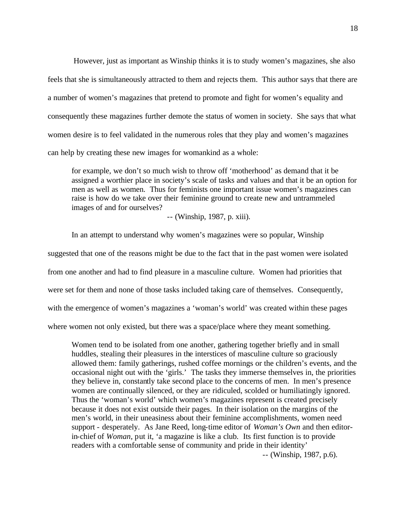However, just as important as Winship thinks it is to study women's magazines, she also feels that she is simultaneously attracted to them and rejects them. This author says that there are a number of women's magazines that pretend to promote and fight for women's equality and consequently these magazines further demote the status of women in society. She says that what women desire is to feel validated in the numerous roles that they play and women's magazines can help by creating these new images for womankind as a whole:

for example, we don't so much wish to throw off 'motherhood' as demand that it be assigned a worthier place in society's scale of tasks and values and that it be an option for men as well as women. Thus for feminists one important issue women's magazines can raise is how do we take over their feminine ground to create new and untrammeled images of and for ourselves?

-- (Winship, 1987, p. xiii).

In an attempt to understand why women's magazines were so popular, Winship suggested that one of the reasons might be due to the fact that in the past women were isolated from one another and had to find pleasure in a masculine culture. Women had priorities that were set for them and none of those tasks included taking care of themselves. Consequently, with the emergence of women's magazines a 'woman's world' was created within these pages where women not only existed, but there was a space/place where they meant something.

Women tend to be isolated from one another, gathering together briefly and in small huddles, stealing their pleasures in the interstices of masculine culture so graciously allowed them: family gatherings, rushed coffee mornings or the children's events, and the occasional night out with the 'girls.' The tasks they immerse themselves in, the priorities they believe in, constantly take second place to the concerns of men. In men's presence women are continually silenced, or they are ridiculed, scolded or humiliatingly ignored. Thus the 'woman's world' which women's magazines represent is created precisely because it does not exist outside their pages. In their isolation on the margins of the men's world, in their uneasiness about their feminine accomplishments, women need support - desperately. As Jane Reed, long-time editor of *Woman's Own* and then editorin-chief of *Woman*, put it, 'a magazine is like a club. Its first function is to provide readers with a comfortable sense of community and pride in their identity'

-- (Winship, 1987, p.6).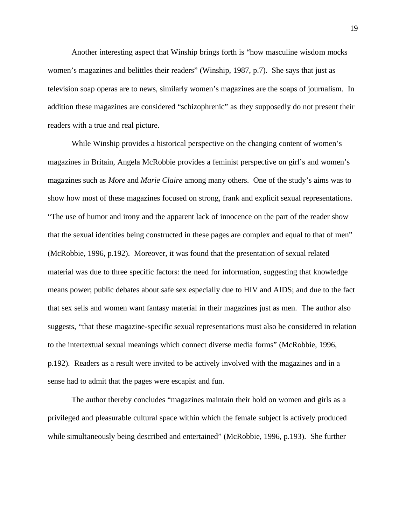Another interesting aspect that Winship brings forth is "how masculine wisdom mocks women's magazines and belittles their readers" (Winship, 1987, p.7). She says that just as television soap operas are to news, similarly women's magazines are the soaps of journalism. In addition these magazines are considered "schizophrenic" as they supposedly do not present their readers with a true and real picture.

While Winship provides a historical perspective on the changing content of women's magazines in Britain, Angela McRobbie provides a feminist perspective on girl's and women's magazines such as *More* and *Marie Claire* among many others. One of the study's aims was to show how most of these magazines focused on strong, frank and explicit sexual representations. "The use of humor and irony and the apparent lack of innocence on the part of the reader show that the sexual identities being constructed in these pages are complex and equal to that of men" (McRobbie, 1996, p.192). Moreover, it was found that the presentation of sexual related material was due to three specific factors: the need for information, suggesting that knowledge means power; public debates about safe sex especially due to HIV and AIDS; and due to the fact that sex sells and women want fantasy material in their magazines just as men. The author also suggests, "that these magazine-specific sexual representations must also be considered in relation to the intertextual sexual meanings which connect diverse media forms" (McRobbie, 1996, p.192). Readers as a result were invited to be actively involved with the magazines and in a sense had to admit that the pages were escapist and fun.

The author thereby concludes "magazines maintain their hold on women and girls as a privileged and pleasurable cultural space within which the female subject is actively produced while simultaneously being described and entertained" (McRobbie, 1996, p.193). She further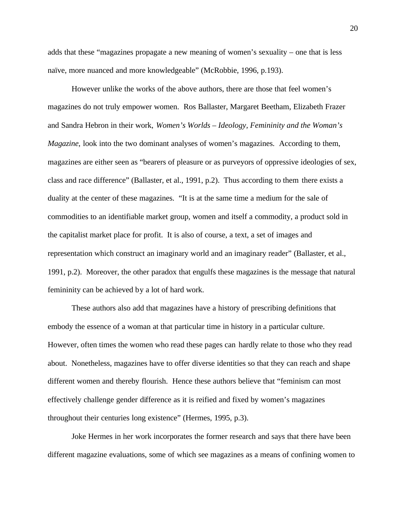adds that these "magazines propagate a new meaning of women's sexuality – one that is less naïve, more nuanced and more knowledgeable" (McRobbie, 1996, p.193).

However unlike the works of the above authors, there are those that feel women's magazines do not truly empower women. Ros Ballaster, Margaret Beetham, Elizabeth Frazer and Sandra Hebron in their work, *Women's Worlds – Ideology, Femininity and the Woman's Magazine*, look into the two dominant analyses of women's magazines. According to them, magazines are either seen as "bearers of pleasure or as purveyors of oppressive ideologies of sex, class and race difference" (Ballaster, et al., 1991, p.2). Thus according to them there exists a duality at the center of these magazines. "It is at the same time a medium for the sale of commodities to an identifiable market group, women and itself a commodity, a product sold in the capitalist market place for profit. It is also of course, a text, a set of images and representation which construct an imaginary world and an imaginary reader" (Ballaster, et al., 1991, p.2). Moreover, the other paradox that engulfs these magazines is the message that natural femininity can be achieved by a lot of hard work.

These authors also add that magazines have a history of prescribing definitions that embody the essence of a woman at that particular time in history in a particular culture. However, often times the women who read these pages can hardly relate to those who they read about. Nonetheless, magazines have to offer diverse identities so that they can reach and shape different women and thereby flourish. Hence these authors believe that "feminism can most effectively challenge gender difference as it is reified and fixed by women's magazines throughout their centuries long existence" (Hermes, 1995, p.3).

Joke Hermes in her work incorporates the former research and says that there have been different magazine evaluations, some of which see magazines as a means of confining women to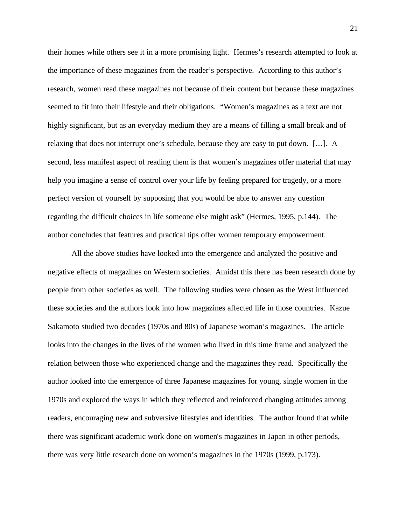their homes while others see it in a more promising light. Hermes's research attempted to look at the importance of these magazines from the reader's perspective. According to this author's research, women read these magazines not because of their content but because these magazines seemed to fit into their lifestyle and their obligations. "Women's magazines as a text are not highly significant, but as an everyday medium they are a means of filling a small break and of relaxing that does not interrupt one's schedule, because they are easy to put down. […]. A second, less manifest aspect of reading them is that women's magazines offer material that may help you imagine a sense of control over your life by feeling prepared for tragedy, or a more perfect version of yourself by supposing that you would be able to answer any question regarding the difficult choices in life someone else might ask" (Hermes, 1995, p.144). The author concludes that features and practical tips offer women temporary empowerment.

All the above studies have looked into the emergence and analyzed the positive and negative effects of magazines on Western societies. Amidst this there has been research done by people from other societies as well. The following studies were chosen as the West influenced these societies and the authors look into how magazines affected life in those countries. Kazue Sakamoto studied two decades (1970s and 80s) of Japanese woman's magazines. The article looks into the changes in the lives of the women who lived in this time frame and analyzed the relation between those who experienced change and the magazines they read. Specifically the author looked into the emergence of three Japanese magazines for young, single women in the 1970s and explored the ways in which they reflected and reinforced changing attitudes among readers, encouraging new and subversive lifestyles and identities. The author found that while there was significant academic work done on women's magazines in Japan in other periods, there was very little research done on women's magazines in the 1970s (1999, p.173).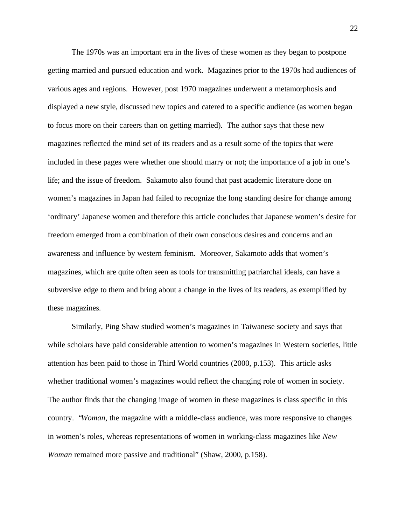The 1970s was an important era in the lives of these women as they began to postpone getting married and pursued education and work. Magazines prior to the 1970s had audiences of various ages and regions. However, post 1970 magazines underwent a metamorphosis and displayed a new style, discussed new topics and catered to a specific audience (as women began to focus more on their careers than on getting married). The author says that these new magazines reflected the mind set of its readers and as a result some of the topics that were included in these pages were whether one should marry or not; the importance of a job in one's life; and the issue of freedom. Sakamoto also found that past academic literature done on women's magazines in Japan had failed to recognize the long standing desire for change among 'ordinary' Japanese women and therefore this article concludes that Japanese women's desire for freedom emerged from a combination of their own conscious desires and concerns and an awareness and influence by western feminism. Moreover, Sakamoto adds that women's magazines, which are quite often seen as tools for transmitting patriarchal ideals, can have a subversive edge to them and bring about a change in the lives of its readers, as exemplified by these magazines.

Similarly, Ping Shaw studied women's magazines in Taiwanese society and says that while scholars have paid considerable attention to women's magazines in Western societies, little attention has been paid to those in Third World countries (2000, p.153). This article asks whether traditional women's magazines would reflect the changing role of women in society. The author finds that the changing image of women in these magazines is class specific in this country. "*Woman*, the magazine with a middle-class audience, was more responsive to changes in women's roles, whereas representations of women in working-class magazines like *New Woman* remained more passive and traditional" (Shaw, 2000, p.158).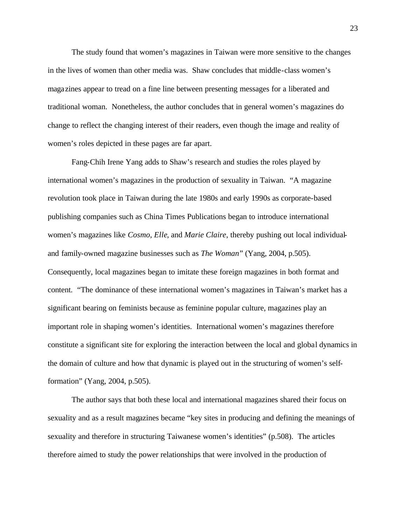The study found that women's magazines in Taiwan were more sensitive to the changes in the lives of women than other media was. Shaw concludes that middle-class women's magazines appear to tread on a fine line between presenting messages for a liberated and traditional woman. Nonetheless, the author concludes that in general women's magazines do change to reflect the changing interest of their readers, even though the image and reality of women's roles depicted in these pages are far apart.

Fang-Chih Irene Yang adds to Shaw's research and studies the roles played by international women's magazines in the production of sexuality in Taiwan. "A magazine revolution took place in Taiwan during the late 1980s and early 1990s as corporate-based publishing companies such as China Times Publications began to introduce international women's magazines like *Cosmo*, *Elle*, and *Marie Claire*, thereby pushing out local individualand family-owned magazine businesses such as *The Woman*" (Yang, 2004, p.505). Consequently, local magazines began to imitate these foreign magazines in both format and content. "The dominance of these international women's magazines in Taiwan's market has a significant bearing on feminists because as feminine popular culture, magazines play an important role in shaping women's identities. International women's magazines therefore constitute a significant site for exploring the interaction between the local and global dynamics in the domain of culture and how that dynamic is played out in the structuring of women's selfformation" (Yang, 2004, p.505).

The author says that both these local and international magazines shared their focus on sexuality and as a result magazines became "key sites in producing and defining the meanings of sexuality and therefore in structuring Taiwanese women's identities" (p.508). The articles therefore aimed to study the power relationships that were involved in the production of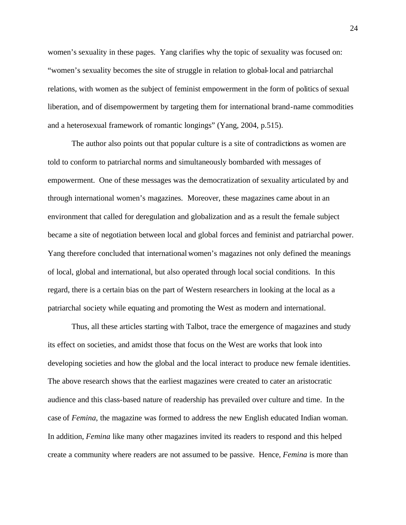women's sexuality in these pages. Yang clarifies why the topic of sexuality was focused on: "women's sexuality becomes the site of struggle in relation to global-local and patriarchal relations, with women as the subject of feminist empowerment in the form of politics of sexual liberation, and of disempowerment by targeting them for international brand-name commodities and a heterosexual framework of romantic longings" (Yang, 2004, p.515).

The author also points out that popular culture is a site of contradictions as women are told to conform to patriarchal norms and simultaneously bombarded with messages of empowerment. One of these messages was the democratization of sexuality articulated by and through international women's magazines. Moreover, these magazines came about in an environment that called for deregulation and globalization and as a result the female subject became a site of negotiation between local and global forces and feminist and patriarchal power. Yang therefore concluded that international women's magazines not only defined the meanings of local, global and international, but also operated through local social conditions. In this regard, there is a certain bias on the part of Western researchers in looking at the local as a patriarchal society while equating and promoting the West as modern and international.

Thus, all these articles starting with Talbot, trace the emergence of magazines and study its effect on societies, and amidst those that focus on the West are works that look into developing societies and how the global and the local interact to produce new female identities. The above research shows that the earliest magazines were created to cater an aristocratic audience and this class-based nature of readership has prevailed over culture and time. In the case of *Femina*, the magazine was formed to address the new English educated Indian woman. In addition, *Femina* like many other magazines invited its readers to respond and this helped create a community where readers are not assumed to be passive. Hence, *Femina* is more than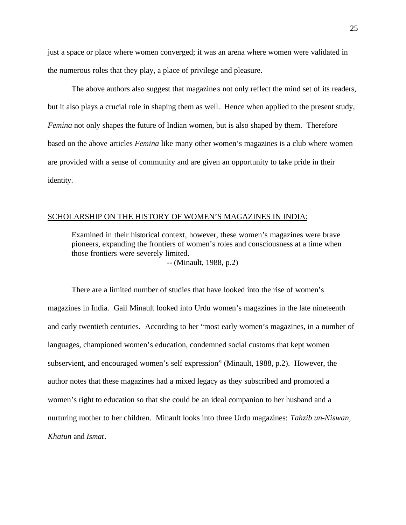just a space or place where women converged; it was an arena where women were validated in the numerous roles that they play, a place of privilege and pleasure.

The above authors also suggest that magazine s not only reflect the mind set of its readers, but it also plays a crucial role in shaping them as well. Hence when applied to the present study, *Femina* not only shapes the future of Indian women, but is also shaped by them. Therefore based on the above articles *Femina* like many other women's magazines is a club where women are provided with a sense of community and are given an opportunity to take pride in their identity.

### SCHOLARSHIP ON THE HISTORY OF WOMEN'S MAGAZINES IN INDIA:

Examined in their historical context, however, these women's magazines were brave pioneers, expanding the frontiers of women's roles and consciousness at a time when those frontiers were severely limited. *--* (Minault, 1988, p.2)

There are a limited number of studies that have looked into the rise of women's magazines in India. Gail Minault looked into Urdu women's magazines in the late nineteenth and early twentieth centuries. According to her "most early women's magazines, in a number of languages, championed women's education, condemned social customs that kept women subservient, and encouraged women's self expression" (Minault, 1988, p.2). However, the author notes that these magazines had a mixed legacy as they subscribed and promoted a women's right to education so that she could be an ideal companion to her husband and a nurturing mother to her children. Minault looks into three Urdu magazines: *Tahzib un-Niswan*, *Khatun* and *Ismat*.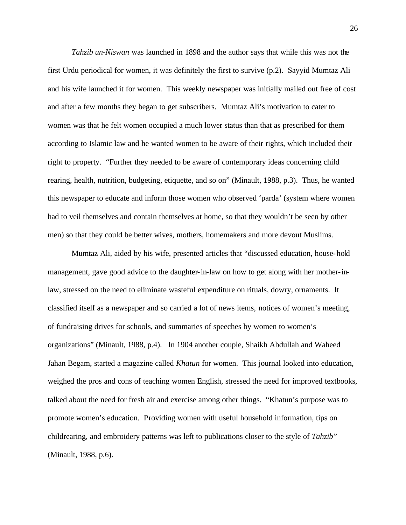*Tahzib un-Niswan* was launched in 1898 and the author says that while this was not the first Urdu periodical for women, it was definitely the first to survive (p.2). Sayyid Mumtaz Ali and his wife launched it for women. This weekly newspaper was initially mailed out free of cost and after a few months they began to get subscribers. Mumtaz Ali's motivation to cater to women was that he felt women occupied a much lower status than that as prescribed for them according to Islamic law and he wanted women to be aware of their rights, which included their right to property. "Further they needed to be aware of contemporary ideas concerning child rearing, health, nutrition, budgeting, etiquette, and so on" (Minault, 1988, p.3). Thus, he wanted this newspaper to educate and inform those women who observed 'parda' (system where women had to veil themselves and contain themselves at home, so that they wouldn't be seen by other men) so that they could be better wives, mothers, homemakers and more devout Muslims.

Mumtaz Ali, aided by his wife, presented articles that "discussed education, house-hold management, gave good advice to the daughter-in-law on how to get along with her mother-inlaw, stressed on the need to eliminate wasteful expenditure on rituals, dowry, ornaments. It classified itself as a newspaper and so carried a lot of news items, notices of women's meeting, of fundraising drives for schools, and summaries of speeches by women to women's organizations" (Minault, 1988, p.4). In 1904 another couple, Shaikh Abdullah and Waheed Jahan Begam, started a magazine called *Khatun* for women. This journal looked into education, weighed the pros and cons of teaching women English, stressed the need for improved textbooks, talked about the need for fresh air and exercise among other things. "Khatun's purpose was to promote women's education. Providing women with useful household information, tips on childrearing, and embroidery patterns was left to publications closer to the style of *Tahzib*" (Minault, 1988, p.6).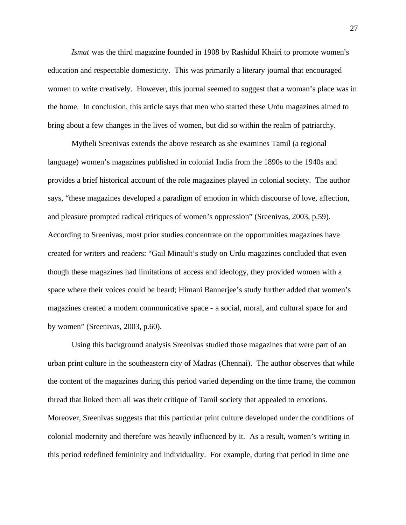*Ismat* was the third magazine founded in 1908 by Rashidul Khairi to promote women's education and respectable domesticity. This was primarily a literary journal that encouraged women to write creatively. However, this journal seemed to suggest that a woman's place was in the home. In conclusion, this article says that men who started these Urdu magazines aimed to bring about a few changes in the lives of women, but did so within the realm of patriarchy.

Mytheli Sreenivas extends the above research as she examines Tamil (a regional language) women's magazines published in colonial India from the 1890s to the 1940s and provides a brief historical account of the role magazines played in colonial society. The author says, "these magazines developed a paradigm of emotion in which discourse of love, affection, and pleasure prompted radical critiques of women's oppression" (Sreenivas, 2003, p.59). According to Sreenivas, most prior studies concentrate on the opportunities magazines have created for writers and readers: "Gail Minault's study on Urdu magazines concluded that even though these magazines had limitations of access and ideology, they provided women with a space where their voices could be heard; Himani Bannerjee's study further added that women's magazines created a modern communicative space - a social, moral, and cultural space for and by women" (Sreenivas, 2003, p.60).

Using this background analysis Sreenivas studied those magazines that were part of an urban print culture in the southeastern city of Madras (Chennai). The author observes that while the content of the magazines during this period varied depending on the time frame, the common thread that linked them all was their critique of Tamil society that appealed to emotions. Moreover, Sreenivas suggests that this particular print culture developed under the conditions of colonial modernity and therefore was heavily influenced by it. As a result, women's writing in this period redefined femininity and individuality. For example, during that period in time one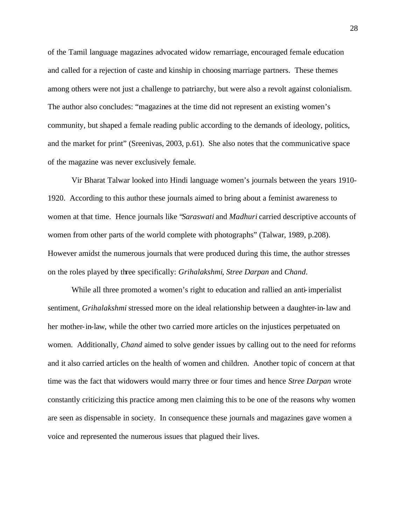of the Tamil language magazines advocated widow remarriage, encouraged female education and called for a rejection of caste and kinship in choosing marriage partners. These themes among others were not just a challenge to patriarchy, but were also a revolt against colonialism. The author also concludes: "magazines at the time did not represent an existing women's community, but shaped a female reading public according to the demands of ideology, politics, and the market for print" (Sreenivas, 2003, p.61). She also notes that the communicative space of the magazine was never exclusively female.

Vir Bharat Talwar looked into Hindi language women's journals between the years 1910- 1920. According to this author these journals aimed to bring about a feminist awareness to women at that time. Hence journals like "*Saraswati* and *Madhuri* carried descriptive accounts of women from other parts of the world complete with photographs" (Talwar, 1989, p.208). However amidst the numerous journals that were produced during this time, the author stresses on the roles played by three specifically: *Grihalakshmi*, *Stree Darpan* and *Chand*.

While all three promoted a women's right to education and rallied an anti-imperialist sentiment, *Grihalakshmi* stressed more on the ideal relationship between a daughter-in-law and her mother-in-law, while the other two carried more articles on the injustices perpetuated on women. Additionally, *Chand* aimed to solve gender issues by calling out to the need for reforms and it also carried articles on the health of women and children. Another topic of concern at that time was the fact that widowers would marry three or four times and hence *Stree Darpan* wrote constantly criticizing this practice among men claiming this to be one of the reasons why women are seen as dispensable in society. In consequence these journals and magazines gave women a voice and represented the numerous issues that plagued their lives.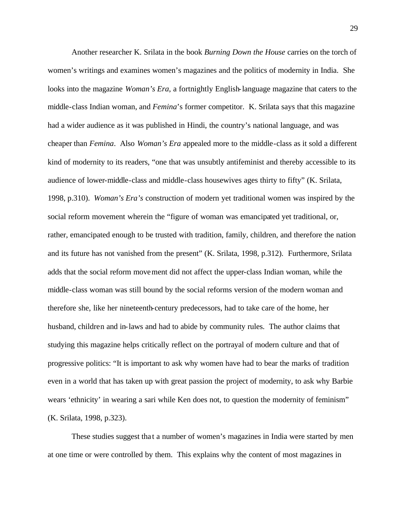Another researcher K. Srilata in the book *Burning Down the House* carries on the torch of women's writings and examines women's magazines and the politics of modernity in India. She looks into the magazine *Woman's Era*, a fortnightly English-language magazine that caters to the middle-class Indian woman, and *Femina*'s former competitor. K. Srilata says that this magazine had a wider audience as it was published in Hindi, the country's national language, and was cheaper than *Femina*. Also *Woman's Era* appealed more to the middle-class as it sold a different kind of modernity to its readers, "one that was unsubtly antifeminist and thereby accessible to its audience of lower-middle-class and middle-class housewives ages thirty to fifty" (K. Srilata, 1998, p.310). *Woman's Era's* construction of modern yet traditional women was inspired by the social reform movement wherein the "figure of woman was emancipated yet traditional, or, rather, emancipated enough to be trusted with tradition, family, children, and therefore the nation and its future has not vanished from the present" (K. Srilata, 1998, p.312). Furthermore, Srilata adds that the social reform movement did not affect the upper-class Indian woman, while the middle-class woman was still bound by the social reforms version of the modern woman and therefore she, like her nineteenth-century predecessors, had to take care of the home, her husband, children and in-laws and had to abide by community rules. The author claims that studying this magazine helps critically reflect on the portrayal of modern culture and that of progressive politics: "It is important to ask why women have had to bear the marks of tradition even in a world that has taken up with great passion the project of modernity, to ask why Barbie wears 'ethnicity' in wearing a sari while Ken does not, to question the modernity of feminism" (K. Srilata, 1998, p.323).

These studies suggest tha t a number of women's magazines in India were started by men at one time or were controlled by them. This explains why the content of most magazines in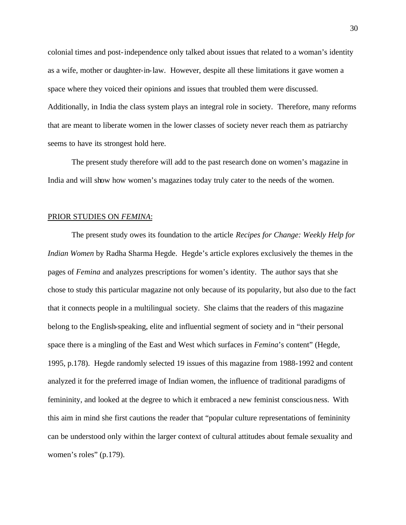colonial times and post-independence only talked about issues that related to a woman's identity as a wife, mother or daughter-in-law. However, despite all these limitations it gave women a space where they voiced their opinions and issues that troubled them were discussed. Additionally, in India the class system plays an integral role in society. Therefore, many reforms that are meant to liberate women in the lower classes of society never reach them as patriarchy seems to have its strongest hold here.

The present study therefore will add to the past research done on women's magazine in India and will show how women's magazines today truly cater to the needs of the women.

#### PRIOR STUDIES ON *FEMINA*:

The present study owes its foundation to the article *Recipes for Change: Weekly Help for Indian Women* by Radha Sharma Hegde. Hegde's article explores exclusively the themes in the pages of *Femina* and analyzes prescriptions for women's identity. The author says that she chose to study this particular magazine not only because of its popularity, but also due to the fact that it connects people in a multilingual society. She claims that the readers of this magazine belong to the English-speaking, elite and influential segment of society and in "their personal space there is a mingling of the East and West which surfaces in *Femina*'s content" (Hegde, 1995, p.178). Hegde randomly selected 19 issues of this magazine from 1988-1992 and content analyzed it for the preferred image of Indian women, the influence of traditional paradigms of femininity, and looked at the degree to which it embraced a new feminist consciousness. With this aim in mind she first cautions the reader that "popular culture representations of femininity can be understood only within the larger context of cultural attitudes about female sexuality and women's roles" (p.179).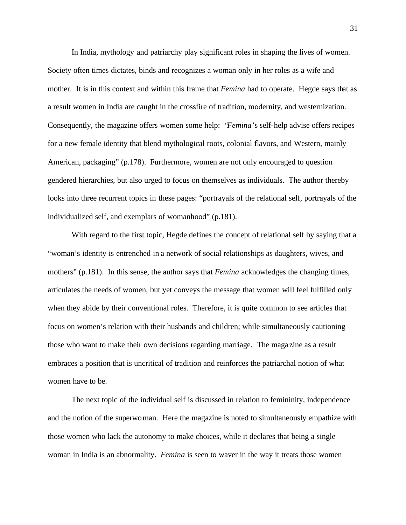In India, mythology and patriarchy play significant roles in shaping the lives of women. Society often times dictates, binds and recognizes a woman only in her roles as a wife and mother. It is in this context and within this frame that *Femina* had to operate. Hegde says that as a result women in India are caught in the crossfire of tradition, modernity, and westernization. Consequently, the magazine offers women some help: "*Femina*'s self-help advise offers recipes for a new female identity that blend mythological roots, colonial flavors, and Western, mainly American, packaging" (p.178). Furthermore, women are not only encouraged to question gendered hierarchies, but also urged to focus on themselves as individuals. The author thereby looks into three recurrent topics in these pages: "portrayals of the relational self, portrayals of the individualized self, and exemplars of womanhood" (p.181).

With regard to the first topic, Hegde defines the concept of relational self by saying that a "woman's identity is entrenched in a network of social relationships as daughters, wives, and mothers" (p.181). In this sense, the author says that *Femina* acknowledges the changing times, articulates the needs of women, but yet conveys the message that women will feel fulfilled only when they abide by their conventional roles. Therefore, it is quite common to see articles that focus on women's relation with their husbands and children; while simultaneously cautioning those who want to make their own decisions regarding marriage. The maga zine as a result embraces a position that is uncritical of tradition and reinforces the patriarchal notion of what women have to be.

The next topic of the individual self is discussed in relation to femininity, independence and the notion of the superwoman. Here the magazine is noted to simultaneously empathize with those women who lack the autonomy to make choices, while it declares that being a single woman in India is an abnormality. *Femina* is seen to waver in the way it treats those women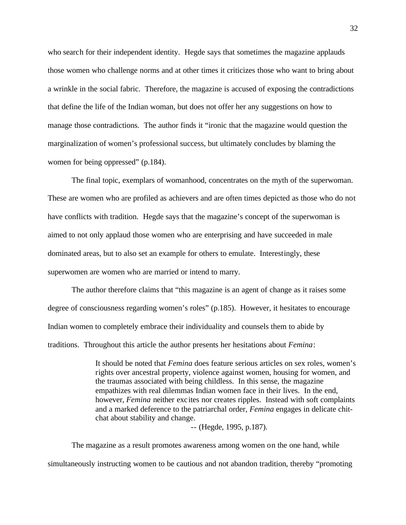who search for their independent identity. Hegde says that sometimes the magazine applauds those women who challenge norms and at other times it criticizes those who want to bring about a wrinkle in the social fabric. Therefore, the magazine is accused of exposing the contradictions that define the life of the Indian woman, but does not offer her any suggestions on how to manage those contradictions. The author finds it "ironic that the magazine would question the marginalization of women's professional success, but ultimately concludes by blaming the women for being oppressed" (p.184).

The final topic, exemplars of womanhood, concentrates on the myth of the superwoman. These are women who are profiled as achievers and are often times depicted as those who do not have conflicts with tradition. Hegde says that the magazine's concept of the superwoman is aimed to not only applaud those women who are enterprising and have succeeded in male dominated areas, but to also set an example for others to emulate. Interestingly, these superwomen are women who are married or intend to marry.

The author therefore claims that "this magazine is an agent of change as it raises some degree of consciousness regarding women's roles" (p.185). However, it hesitates to encourage Indian women to completely embrace their individuality and counsels them to abide by traditions. Throughout this article the author presents her hesitations about *Femina*:

> It should be noted that *Femina* does feature serious articles on sex roles, women's rights over ancestral property, violence against women, housing for women, and the traumas associated with being childless. In this sense, the magazine empathizes with real dilemmas Indian women face in their lives. In the end, however, *Femina* neither excites nor creates ripples. Instead with soft complaints and a marked deference to the patriarchal order, *Femina* engages in delicate chitchat about stability and change.

> > -- (Hegde, 1995, p.187).

The magazine as a result promotes awareness among women on the one hand, while simultaneously instructing women to be cautious and not abandon tradition, thereby "promoting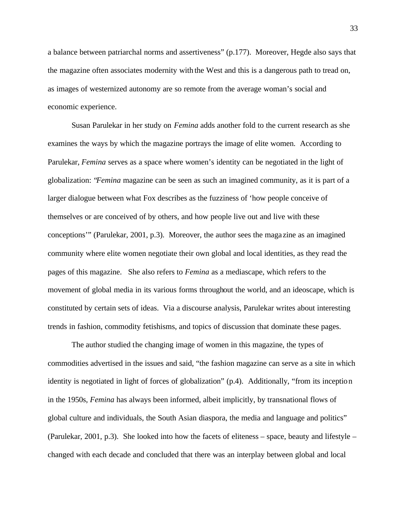a balance between patriarchal norms and assertiveness" (p.177). Moreover, Hegde also says that the magazine often associates modernity with the West and this is a dangerous path to tread on, as images of westernized autonomy are so remote from the average woman's social and economic experience.

Susan Parulekar in her study on *Femina* adds another fold to the current research as she examines the ways by which the magazine portrays the image of elite women. According to Parulekar, *Femina* serves as a space where women's identity can be negotiated in the light of globalization: "*Femina* magazine can be seen as such an imagined community, as it is part of a larger dialogue between what Fox describes as the fuzziness of 'how people conceive of themselves or are conceived of by others, and how people live out and live with these conceptions'" (Parulekar, 2001, p.3). Moreover, the author sees the maga zine as an imagined community where elite women negotiate their own global and local identities, as they read the pages of this magazine. She also refers to *Femina* as a mediascape, which refers to the movement of global media in its various forms throughout the world, and an ideoscape, which is constituted by certain sets of ideas. Via a discourse analysis, Parulekar writes about interesting trends in fashion, commodity fetishisms, and topics of discussion that dominate these pages.

The author studied the changing image of women in this magazine, the types of commodities advertised in the issues and said, "the fashion magazine can serve as a site in which identity is negotiated in light of forces of globalization" (p.4). Additionally, "from its inception in the 1950s, *Femina* has always been informed, albeit implicitly, by transnational flows of global culture and individuals, the South Asian diaspora, the media and language and politics" (Parulekar, 2001, p.3). She looked into how the facets of eliteness – space, beauty and lifestyle – changed with each decade and concluded that there was an interplay between global and local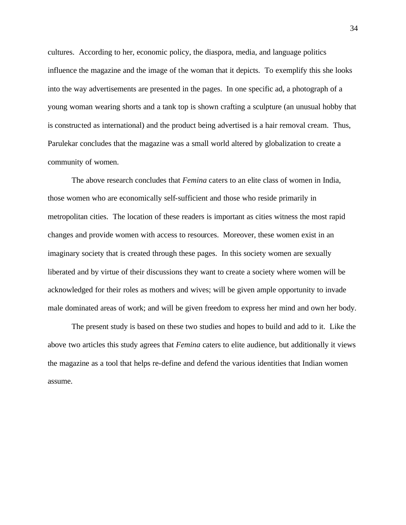cultures. According to her, economic policy, the diaspora, media, and language politics influence the magazine and the image of the woman that it depicts. To exemplify this she looks into the way advertisements are presented in the pages. In one specific ad, a photograph of a young woman wearing shorts and a tank top is shown crafting a sculpture (an unusual hobby that is constructed as international) and the product being advertised is a hair removal cream. Thus, Parulekar concludes that the magazine was a small world altered by globalization to create a community of women.

The above research concludes that *Femina* caters to an elite class of women in India, those women who are economically self-sufficient and those who reside primarily in metropolitan cities. The location of these readers is important as cities witness the most rapid changes and provide women with access to resources. Moreover, these women exist in an imaginary society that is created through these pages. In this society women are sexually liberated and by virtue of their discussions they want to create a society where women will be acknowledged for their roles as mothers and wives; will be given ample opportunity to invade male dominated areas of work; and will be given freedom to express her mind and own her body.

The present study is based on these two studies and hopes to build and add to it. Like the above two articles this study agrees that *Femina* caters to elite audience, but additionally it views the magazine as a tool that helps re-define and defend the various identities that Indian women assume.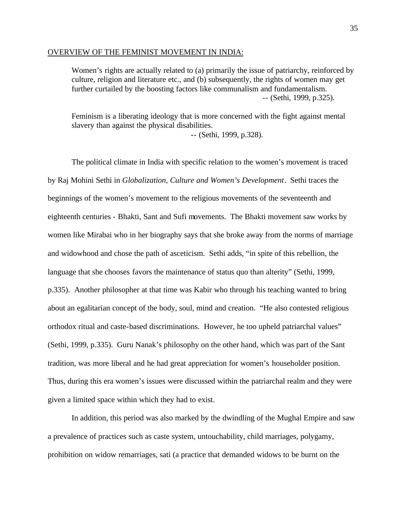### OVERVIEW OF THE FEMINIST MOVEMENT IN INDIA:

Women's rights are actually related to (a) primarily the issue of patriarchy, reinforced by culture, religion and literature etc., and (b) subsequently, the rights of women may get further curtailed by the boosting factors like communalism and fundamentalism. -- (Sethi, 1999, p.325).

Feminism is a liberating ideology that is more concerned with the fight against mental slavery than against the physical disabilities.

-- (Sethi, 1999, p.328).

The political climate in India with specific relation to the women's movement is traced by Raj Mohini Sethi in *Globalization, Culture and Women's Development*. Sethi traces the beginnings of the women's movement to the religious movements of the seventeenth and eighteenth centuries - Bhakti, Sant and Sufi movements. The Bhakti movement saw works by women like Mirabai who in her biography says that she broke away from the norms of marriage and widowhood and chose the path of asceticism. Sethi adds, "in spite of this rebellion, the language that she chooses favors the maintenance of status quo than alterity" (Sethi, 1999, p.335). Another philosopher at that time was Kabir who through his teaching wanted to bring about an egalitarian concept of the body, soul, mind and creation. "He also contested religious orthodox ritual and caste-based discriminations. However, he too upheld patriarchal values" (Sethi, 1999, p.335). Guru Nanak's philosophy on the other hand, which was part of the Sant tradition, was more liberal and he had great appreciation for women's householder position. Thus, during this era women's issues were discussed within the patriarchal realm and they were given a limited space within which they had to exist.

In addition, this period was also marked by the dwindling of the Mughal Empire and saw a prevalence of practices such as caste system, untouchability, child marriages, polygamy, prohibition on widow remarriages, sati (a practice that demanded widows to be burnt on the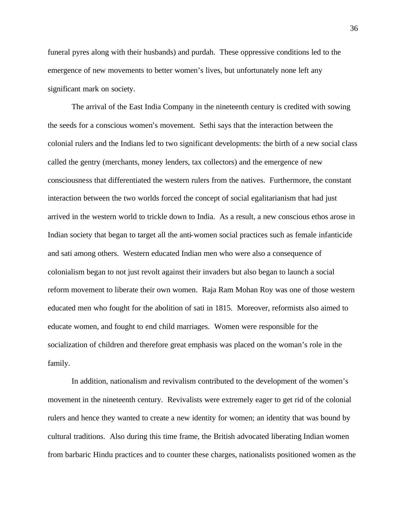funeral pyres along with their husbands) and purdah. These oppressive conditions led to the emergence of new movements to better women's lives, but unfortunately none left any significant mark on society.

The arrival of the East India Company in the nineteenth century is credited with sowing the seeds for a conscious women's movement. Sethi says that the interaction between the colonial rulers and the Indians led to two significant developments: the birth of a new social class called the gentry (merchants, money lenders, tax collectors) and the emergence of new consciousness that differentiated the western rulers from the natives. Furthermore, the constant interaction between the two worlds forced the concept of social egalitarianism that had just arrived in the western world to trickle down to India. As a result, a new conscious ethos arose in Indian society that began to target all the anti-women social practices such as female infanticide and sati among others. Western educated Indian men who were also a consequence of colonialism began to not just revolt against their invaders but also began to launch a social reform movement to liberate their own women. Raja Ram Mohan Roy was one of those western educated men who fought for the abolition of sati in 1815. Moreover, reformists also aimed to educate women, and fought to end child marriages. Women were responsible for the socialization of children and therefore great emphasis was placed on the woman's role in the family.

In addition, nationalism and revivalism contributed to the development of the women's movement in the nineteenth century. Revivalists were extremely eager to get rid of the colonial rulers and hence they wanted to create a new identity for women; an identity that was bound by cultural traditions. Also during this time frame, the British advocated liberating Indian women from barbaric Hindu practices and to counter these charges, nationalists positioned women as the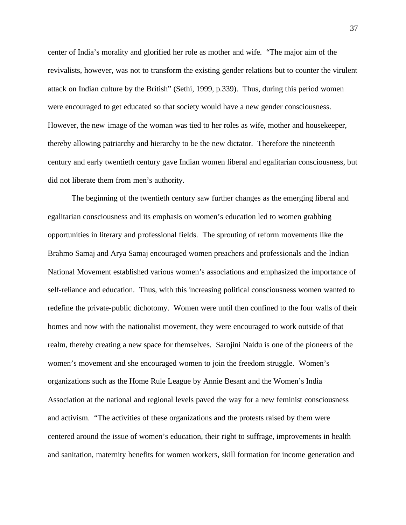center of India's morality and glorified her role as mother and wife. "The major aim of the revivalists, however, was not to transform the existing gender relations but to counter the virulent attack on Indian culture by the British" (Sethi, 1999, p.339). Thus, during this period women were encouraged to get educated so that society would have a new gender consciousness. However, the new image of the woman was tied to her roles as wife, mother and housekeeper, thereby allowing patriarchy and hierarchy to be the new dictator. Therefore the nineteenth century and early twentieth century gave Indian women liberal and egalitarian consciousness, but did not liberate them from men's authority.

The beginning of the twentieth century saw further changes as the emerging liberal and egalitarian consciousness and its emphasis on women's education led to women grabbing opportunities in literary and professional fields. The sprouting of reform movements like the Brahmo Samaj and Arya Samaj encouraged women preachers and professionals and the Indian National Movement established various women's associations and emphasized the importance of self-reliance and education. Thus, with this increasing political consciousness women wanted to redefine the private-public dichotomy. Women were until then confined to the four walls of their homes and now with the nationalist movement, they were encouraged to work outside of that realm, thereby creating a new space for themselves. Sarojini Naidu is one of the pioneers of the women's movement and she encouraged women to join the freedom struggle. Women's organizations such as the Home Rule League by Annie Besant and the Women's India Association at the national and regional levels paved the way for a new feminist consciousness and activism. "The activities of these organizations and the protests raised by them were centered around the issue of women's education, their right to suffrage, improvements in health and sanitation, maternity benefits for women workers, skill formation for income generation and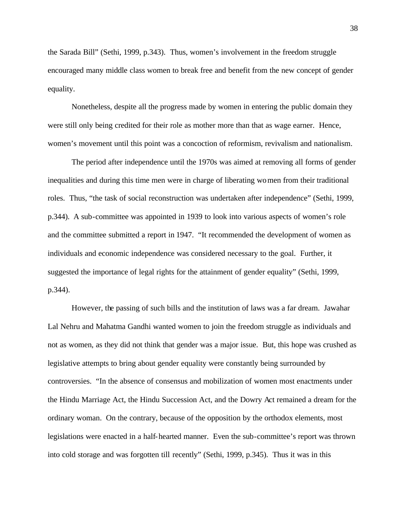the Sarada Bill" (Sethi, 1999, p.343). Thus, women's involvement in the freedom struggle encouraged many middle class women to break free and benefit from the new concept of gender equality.

Nonetheless, despite all the progress made by women in entering the public domain they were still only being credited for their role as mother more than that as wage earner. Hence, women's movement until this point was a concoction of reformism, revivalism and nationalism.

The period after independence until the 1970s was aimed at removing all forms of gender inequalities and during this time men were in charge of liberating women from their traditional roles. Thus, "the task of social reconstruction was undertaken after independence" (Sethi, 1999, p.344). A sub-committee was appointed in 1939 to look into various aspects of women's role and the committee submitted a report in 1947. "It recommended the development of women as individuals and economic independence was considered necessary to the goal. Further, it suggested the importance of legal rights for the attainment of gender equality" (Sethi, 1999, p.344).

However, the passing of such bills and the institution of laws was a far dream. Jawahar Lal Nehru and Mahatma Gandhi wanted women to join the freedom struggle as individuals and not as women, as they did not think that gender was a major issue. But, this hope was crushed as legislative attempts to bring about gender equality were constantly being surrounded by controversies. "In the absence of consensus and mobilization of women most enactments under the Hindu Marriage Act, the Hindu Succession Act, and the Dowry Act remained a dream for the ordinary woman. On the contrary, because of the opposition by the orthodox elements, most legislations were enacted in a half-hearted manner. Even the sub-committee's report was thrown into cold storage and was forgotten till recently" (Sethi, 1999, p.345). Thus it was in this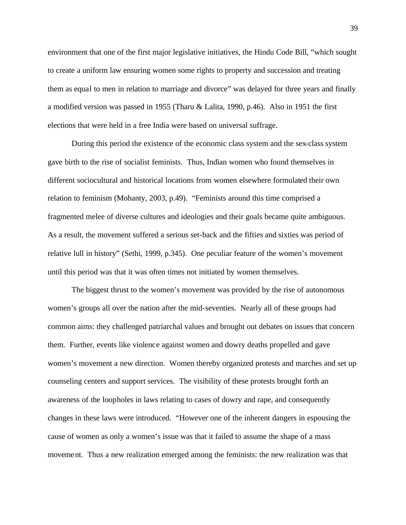environment that one of the first major legislative initiatives, the Hindu Code Bill, "which sought to create a uniform law ensuring women some rights to property and succession and treating them as equal to men in relation to marriage and divorce" was delayed for three years and finally a modified version was passed in 1955 (Tharu & Lalita, 1990, p.46). Also in 1951 the first elections that were held in a free India were based on universal suffrage.

During this period the existence of the economic class system and the sex-class system gave birth to the rise of socialist feminists. Thus, Indian women who found themselves in different sociocultural and historical locations from women elsewhere formulated their own relation to feminism (Mohanty, 2003, p.49). "Feminists around this time comprised a fragmented melee of diverse cultures and ideologies and their goals became quite ambiguous. As a result, the movement suffered a serious set-back and the fifties and sixties was period of relative lull in history" (Sethi, 1999, p.345). One peculiar feature of the women's movement until this period was that it was often times not initiated by women themselves.

The biggest thrust to the women's movement was provided by the rise of autonomous women's groups all over the nation after the mid-seventies. Nearly all of these groups had common aims: they challenged patriarchal values and brought out debates on issues that concern them. Further, events like violence against women and dowry deaths propelled and gave women's movement a new direction. Women thereby organized protests and marches and set up counseling centers and support services. The visibility of these protests brought forth an awareness of the loopholes in laws relating to cases of dowry and rape, and consequently changes in these laws were introduced. "However one of the inherent dangers in espousing the cause of women as only a women's issue was that it failed to assume the shape of a mass movement. Thus a new realization emerged among the feminists: the new realization was that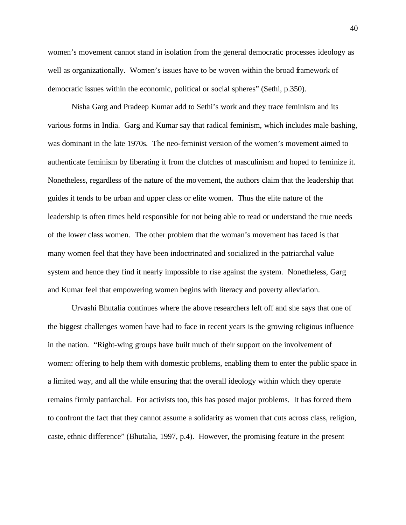women's movement cannot stand in isolation from the general democratic processes ideology as well as organizationally. Women's issues have to be woven within the broad framework of democratic issues within the economic, political or social spheres" (Sethi, p.350).

Nisha Garg and Pradeep Kumar add to Sethi's work and they trace feminism and its various forms in India. Garg and Kumar say that radical feminism, which includes male bashing, was dominant in the late 1970s. The neo-feminist version of the women's movement aimed to authenticate feminism by liberating it from the clutches of masculinism and hoped to feminize it. Nonetheless, regardless of the nature of the movement, the authors claim that the leadership that guides it tends to be urban and upper class or elite women. Thus the elite nature of the leadership is often times held responsible for not being able to read or understand the true needs of the lower class women. The other problem that the woman's movement has faced is that many women feel that they have been indoctrinated and socialized in the patriarchal value system and hence they find it nearly impossible to rise against the system. Nonetheless, Garg and Kumar feel that empowering women begins with literacy and poverty alleviation.

Urvashi Bhutalia continues where the above researchers left off and she says that one of the biggest challenges women have had to face in recent years is the growing religious influence in the nation. "Right-wing groups have built much of their support on the involvement of women: offering to help them with domestic problems, enabling them to enter the public space in a limited way, and all the while ensuring that the overall ideology within which they operate remains firmly patriarchal. For activists too, this has posed major problems. It has forced them to confront the fact that they cannot assume a solidarity as women that cuts across class, religion, caste, ethnic difference" (Bhutalia, 1997, p.4). However, the promising feature in the present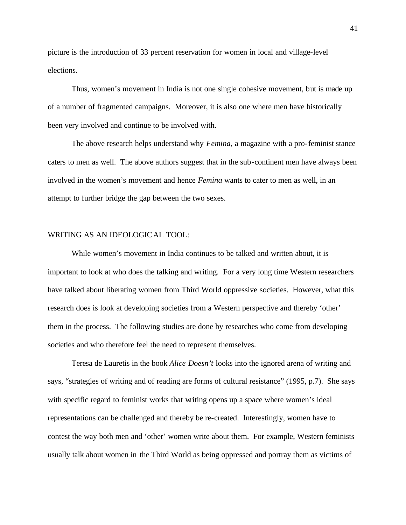picture is the introduction of 33 percent reservation for women in local and village-level elections.

Thus, women's movement in India is not one single cohesive movement, but is made up of a number of fragmented campaigns. Moreover, it is also one where men have historically been very involved and continue to be involved with.

The above research helps understand why *Femina*, a magazine with a pro-feminist stance caters to men as well. The above authors suggest that in the sub-continent men have always been involved in the women's movement and hence *Femina* wants to cater to men as well, in an attempt to further bridge the gap between the two sexes.

## WRITING AS AN IDEOLOGICAL TOOL:

While women's movement in India continues to be talked and written about, it is important to look at who does the talking and writing. For a very long time Western researchers have talked about liberating women from Third World oppressive societies. However, what this research does is look at developing societies from a Western perspective and thereby 'other' them in the process. The following studies are done by researches who come from developing societies and who therefore feel the need to represent themselves.

Teresa de Lauretis in the book *Alice Doesn't* looks into the ignored arena of writing and says, "strategies of writing and of reading are forms of cultural resistance" (1995, p.7). She says with specific regard to feminist works that writing opens up a space where women's ideal representations can be challenged and thereby be re-created. Interestingly, women have to contest the way both men and 'other' women write about them. For example, Western feminists usually talk about women in the Third World as being oppressed and portray them as victims of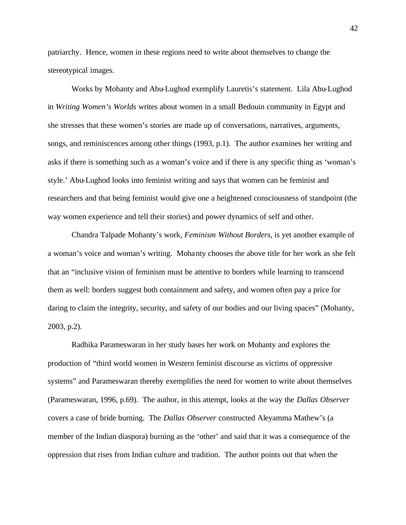patriarchy. Hence, women in these regions need to write about themselves to change the stereotypical images.

Works by Mohanty and Abu-Lughod exemplify Lauretis's statement. Lila Abu-Lughod in *Writing Women's Worlds* writes about women in a small Bedouin community in Egypt and she stresses that these women's stories are made up of conversations, narratives, arguments, songs, and reminiscences among other things (1993, p.1). The author examines her writing and asks if there is something such as a woman's voice and if there is any specific thing as 'woman's style.' Abu-Lughod looks into feminist writing and says that women can be feminist and researchers and that being feminist would give one a heightened consciousness of standpoint (the way women experience and tell their stories) and power dynamics of self and other.

Chandra Talpade Mohanty's work, *Feminism Without Borders*, is yet another example of a woman's voice and woman's writing. Mohanty chooses the above title for her work as she felt that an "inclusive vision of feminism must be attentive to borders while learning to transcend them as well: borders suggest both containment and safety, and women often pay a price for daring to claim the integrity, security, and safety of our bodies and our living spaces" (Mohanty, 2003, p.2).

Radhika Parameswaran in her study bases her work on Mohanty and explores the production of "third world women in Western feminist discourse as victims of oppressive systems" and Parameswaran thereby exemplifies the need for women to write about themselves (Parameswaran, 1996, p.69). The author, in this attempt, looks at the way the *Dallas Observer* covers a case of bride burning. The *Dallas Observer* constructed Aleyamma Mathew's (a member of the Indian diaspora) burning as the 'other' and said that it was a consequence of the oppression that rises from Indian culture and tradition. The author points out that when the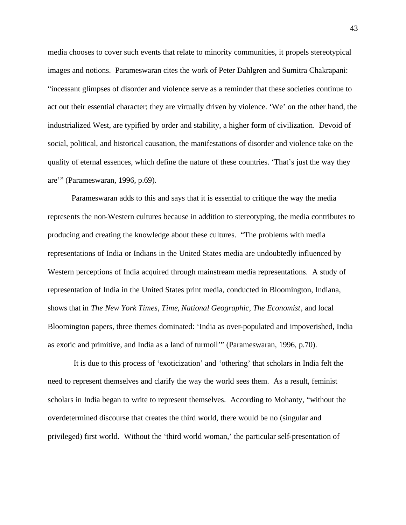media chooses to cover such events that relate to minority communities, it propels stereotypical images and notions. Parameswaran cites the work of Peter Dahlgren and Sumitra Chakrapani: "incessant glimpses of disorder and violence serve as a reminder that these societies continue to act out their essential character; they are virtually driven by violence. 'We' on the other hand, the industrialized West, are typified by order and stability, a higher form of civilization. Devoid of social, political, and historical causation, the manifestations of disorder and violence take on the quality of eternal essences, which define the nature of these countries. 'That's just the way they are'" (Parameswaran, 1996, p.69).

Parameswaran adds to this and says that it is essential to critique the way the media represents the non-Western cultures because in addition to stereotyping, the media contributes to producing and creating the knowledge about these cultures. "The problems with media representations of India or Indians in the United States media are undoubtedly influenced by Western perceptions of India acquired through mainstream media representations. A study of representation of India in the United States print media, conducted in Bloomington, Indiana, shows that in *The New York Times*, *Time*, *National Geographic*, *The Economist*, and local Bloomington papers, three themes dominated: 'India as over-populated and impoverished, India as exotic and primitive, and India as a land of turmoil'" (Parameswaran, 1996, p.70).

 It is due to this process of 'exoticization' and 'othering' that scholars in India felt the need to represent themselves and clarify the way the world sees them. As a result, feminist scholars in India began to write to represent themselves. According to Mohanty, "without the overdetermined discourse that creates the third world, there would be no (singular and privileged) first world. Without the 'third world woman,' the particular self-presentation of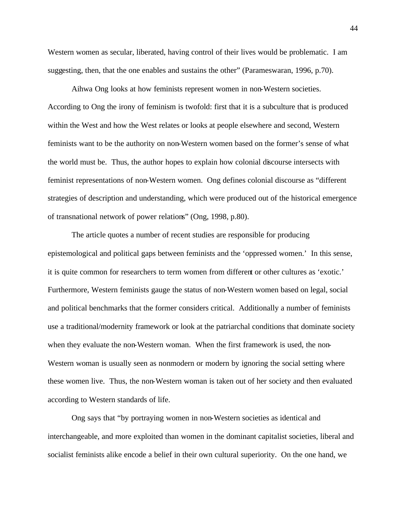Western women as secular, liberated, having control of their lives would be problematic. I am suggesting, then, that the one enables and sustains the other" (Parameswaran, 1996, p.70).

Aihwa Ong looks at how feminists represent women in non-Western societies. According to Ong the irony of feminism is twofold: first that it is a subculture that is produced within the West and how the West relates or looks at people elsewhere and second, Western feminists want to be the authority on non-Western women based on the former's sense of what the world must be. Thus, the author hopes to explain how colonial discourse intersects with feminist representations of non-Western women. Ong defines colonial discourse as "different strategies of description and understanding, which were produced out of the historical emergence of transnational network of power relations" (Ong, 1998, p.80).

The article quotes a number of recent studies are responsible for producing epistemological and political gaps between feminists and the 'oppressed women.' In this sense, it is quite common for researchers to term women from different or other cultures as 'exotic.' Furthermore, Western feminists gauge the status of non-Western women based on legal, social and political benchmarks that the former considers critical. Additionally a number of feminists use a traditional/modernity framework or look at the patriarchal conditions that dominate society when they evaluate the non-Western woman. When the first framework is used, the non-Western woman is usually seen as nonmodern or modern by ignoring the social setting where these women live. Thus, the non-Western woman is taken out of her society and then evaluated according to Western standards of life.

Ong says that "by portraying women in non-Western societies as identical and interchangeable, and more exploited than women in the dominant capitalist societies, liberal and socialist feminists alike encode a belief in their own cultural superiority. On the one hand, we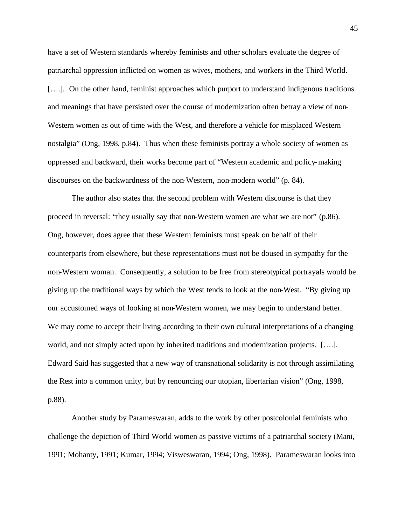have a set of Western standards whereby feminists and other scholars evaluate the degree of patriarchal oppression inflicted on women as wives, mothers, and workers in the Third World. [...]. On the other hand, feminist approaches which purport to understand indigenous traditions and meanings that have persisted over the course of modernization often betray a view of non-Western women as out of time with the West, and therefore a vehicle for misplaced Western nostalgia" (Ong, 1998, p.84). Thus when these feminists portray a whole society of women as oppressed and backward, their works become part of "Western academic and policy-making discourses on the backwardness of the non-Western, non-modern world" (p. 84).

The author also states that the second problem with Western discourse is that they proceed in reversal: "they usually say that non-Western women are what we are not" (p.86). Ong, however, does agree that these Western feminists must speak on behalf of their counterparts from elsewhere, but these representations must not be doused in sympathy for the non-Western woman. Consequently, a solution to be free from stereotypical portrayals would be giving up the traditional ways by which the West tends to look at the non-West. "By giving up our accustomed ways of looking at non-Western women, we may begin to understand better. We may come to accept their living according to their own cultural interpretations of a changing world, and not simply acted upon by inherited traditions and modernization projects. [….]. Edward Said has suggested that a new way of transnational solidarity is not through assimilating the Rest into a common unity, but by renouncing our utopian, libertarian vision" (Ong, 1998, p.88).

Another study by Parameswaran, adds to the work by other postcolonial feminists who challenge the depiction of Third World women as passive victims of a patriarchal society (Mani, 1991; Mohanty, 1991; Kumar, 1994; Visweswaran, 1994; Ong, 1998). Parameswaran looks into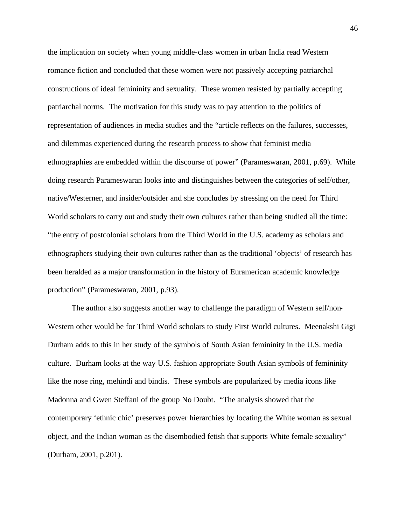the implication on society when young middle-class women in urban India read Western romance fiction and concluded that these women were not passively accepting patriarchal constructions of ideal femininity and sexuality. These women resisted by partially accepting patriarchal norms. The motivation for this study was to pay attention to the politics of representation of audiences in media studies and the "article reflects on the failures, successes, and dilemmas experienced during the research process to show that feminist media ethnographies are embedded within the discourse of power" (Parameswaran, 2001, p.69). While doing research Parameswaran looks into and distinguishes between the categories of self/other, native/Westerner, and insider/outsider and she concludes by stressing on the need for Third World scholars to carry out and study their own cultures rather than being studied all the time: "the entry of postcolonial scholars from the Third World in the U.S. academy as scholars and ethnographers studying their own cultures rather than as the traditional 'objects' of research has been heralded as a major transformation in the history of Euramerican academic knowledge production" (Parameswaran, 2001, p.93).

The author also suggests another way to challenge the paradigm of Western self/non-Western other would be for Third World scholars to study First World cultures. Meenakshi Gigi Durham adds to this in her study of the symbols of South Asian femininity in the U.S. media culture. Durham looks at the way U.S. fashion appropriate South Asian symbols of femininity like the nose ring, mehindi and bindis. These symbols are popularized by media icons like Madonna and Gwen Steffani of the group No Doubt. "The analysis showed that the contemporary 'ethnic chic' preserves power hierarchies by locating the White woman as sexual object, and the Indian woman as the disembodied fetish that supports White female sexuality" (Durham, 2001, p.201).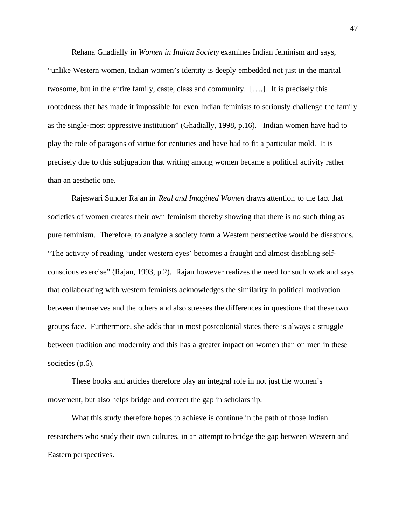Rehana Ghadially in *Women in Indian Society* examines Indian feminism and says, "unlike Western women, Indian women's identity is deeply embedded not just in the marital twosome, but in the entire family, caste, class and community. [….]. It is precisely this rootedness that has made it impossible for even Indian feminists to seriously challenge the family as the single-most oppressive institution" (Ghadially, 1998, p.16). Indian women have had to play the role of paragons of virtue for centuries and have had to fit a particular mold. It is precisely due to this subjugation that writing among women became a political activity rather than an aesthetic one.

Rajeswari Sunder Rajan in *Real and Imagined Women* draws attention to the fact that societies of women creates their own feminism thereby showing that there is no such thing as pure feminism. Therefore, to analyze a society form a Western perspective would be disastrous. "The activity of reading 'under western eyes' becomes a fraught and almost disabling selfconscious exercise" (Rajan, 1993, p.2). Rajan however realizes the need for such work and says that collaborating with western feminists acknowledges the similarity in political motivation between themselves and the others and also stresses the differences in questions that these two groups face. Furthermore, she adds that in most postcolonial states there is always a struggle between tradition and modernity and this has a greater impact on women than on men in these societies (p.6).

These books and articles therefore play an integral role in not just the women's movement, but also helps bridge and correct the gap in scholarship.

What this study therefore hopes to achieve is continue in the path of those Indian researchers who study their own cultures, in an attempt to bridge the gap between Western and Eastern perspectives.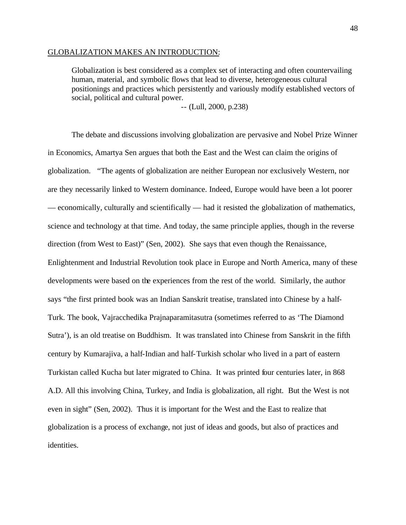#### GLOBALIZATION MAKES AN INTRODUCTION:

Globalization is best considered as a complex set of interacting and often countervailing human, material, and symbolic flows that lead to diverse, heterogeneous cultural positionings and practices which persistently and variously modify established vectors of social, political and cultural power.

-- (Lull, 2000, p.238)

The debate and discussions involving globalization are pervasive and Nobel Prize Winner in Economics, Amartya Sen argues that both the East and the West can claim the origins of globalization. "The agents of globalization are neither European nor exclusively Western, nor are they necessarily linked to Western dominance. Indeed, Europe would have been a lot poorer — economically, culturally and scientifically — had it resisted the globalization of mathematics, science and technology at that time. And today, the same principle applies, though in the reverse direction (from West to East)" (Sen, 2002). She says that even though the Renaissance, Enlightenment and Industrial Revolution took place in Europe and North America, many of these developments were based on the experiences from the rest of the world. Similarly, the author says "the first printed book was an Indian Sanskrit treatise, translated into Chinese by a half-Turk. The book, Vajracchedika Prajnaparamitasutra (sometimes referred to as 'The Diamond Sutra'), is an old treatise on Buddhism. It was translated into Chinese from Sanskrit in the fifth century by Kumarajiva, a half-Indian and half-Turkish scholar who lived in a part of eastern Turkistan called Kucha but later migrated to China. It was printed four centuries later, in 868 A.D. All this involving China, Turkey, and India is globalization, all right. But the West is not even in sight" (Sen, 2002). Thus it is important for the West and the East to realize that globalization is a process of exchange, not just of ideas and goods, but also of practices and identities.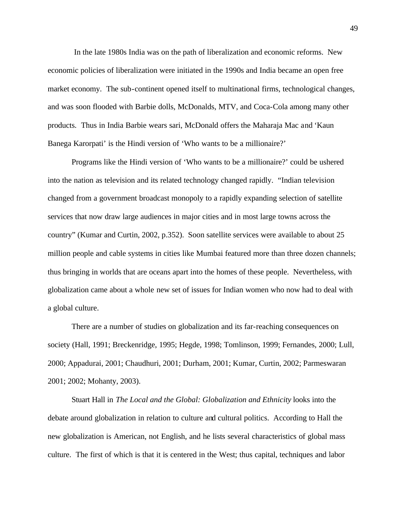In the late 1980s India was on the path of liberalization and economic reforms. New economic policies of liberalization were initiated in the 1990s and India became an open free market economy. The sub-continent opened itself to multinational firms, technological changes, and was soon flooded with Barbie dolls, McDonalds, MTV, and Coca-Cola among many other products. Thus in India Barbie wears sari, McDonald offers the Maharaja Mac and 'Kaun Banega Karorpati' is the Hindi version of 'Who wants to be a millionaire?'

Programs like the Hindi version of 'Who wants to be a millionaire?' could be ushered into the nation as television and its related technology changed rapidly. "Indian television changed from a government broadcast monopoly to a rapidly expanding selection of satellite services that now draw large audiences in major cities and in most large towns across the country" (Kumar and Curtin, 2002, p.352). Soon satellite services were available to about 25 million people and cable systems in cities like Mumbai featured more than three dozen channels; thus bringing in worlds that are oceans apart into the homes of these people. Nevertheless, with globalization came about a whole new set of issues for Indian women who now had to deal with a global culture.

There are a number of studies on globalization and its far-reaching consequences on society (Hall, 1991; Breckenridge, 1995; Hegde, 1998; Tomlinson, 1999; Fernandes, 2000; Lull, 2000; Appadurai, 2001; Chaudhuri, 2001; Durham, 2001; Kumar, Curtin, 2002; Parmeswaran 2001; 2002; Mohanty, 2003).

Stuart Hall in *The Local and the Global: Globalization and Ethnicity* looks into the debate around globalization in relation to culture and cultural politics. According to Hall the new globalization is American, not English, and he lists several characteristics of global mass culture. The first of which is that it is centered in the West; thus capital, techniques and labor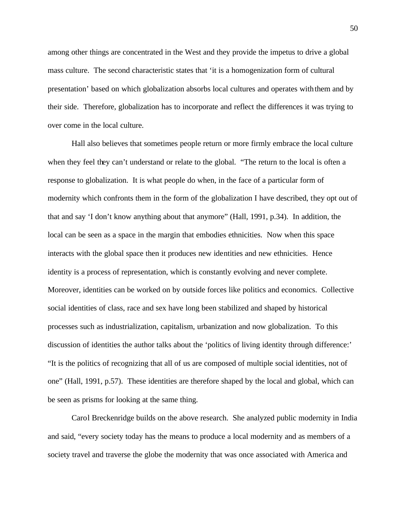among other things are concentrated in the West and they provide the impetus to drive a global mass culture. The second characteristic states that 'it is a homogenization form of cultural presentation' based on which globalization absorbs local cultures and operates with them and by their side. Therefore, globalization has to incorporate and reflect the differences it was trying to over come in the local culture.

Hall also believes that sometimes people return or more firmly embrace the local culture when they feel they can't understand or relate to the global. "The return to the local is often a response to globalization. It is what people do when, in the face of a particular form of modernity which confronts them in the form of the globalization I have described, they opt out of that and say 'I don't know anything about that anymore" (Hall, 1991, p.34). In addition, the local can be seen as a space in the margin that embodies ethnicities. Now when this space interacts with the global space then it produces new identities and new ethnicities. Hence identity is a process of representation, which is constantly evolving and never complete. Moreover, identities can be worked on by outside forces like politics and economics. Collective social identities of class, race and sex have long been stabilized and shaped by historical processes such as industrialization, capitalism, urbanization and now globalization. To this discussion of identities the author talks about the 'politics of living identity through difference:' "It is the politics of recognizing that all of us are composed of multiple social identities, not of one" (Hall, 1991, p.57). These identities are therefore shaped by the local and global, which can be seen as prisms for looking at the same thing.

Carol Breckenridge builds on the above research. She analyzed public modernity in India and said, "every society today has the means to produce a local modernity and as members of a society travel and traverse the globe the modernity that was once associated with America and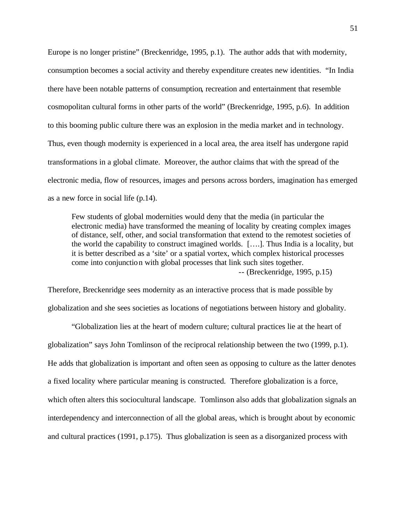Europe is no longer pristine" (Breckenridge, 1995, p.1). The author adds that with modernity, consumption becomes a social activity and thereby expenditure creates new identities. "In India there have been notable patterns of consumption, recreation and entertainment that resemble cosmopolitan cultural forms in other parts of the world" (Breckenridge, 1995, p.6). In addition to this booming public culture there was an explosion in the media market and in technology. Thus, even though modernity is experienced in a local area, the area itself has undergone rapid transformations in a global climate. Moreover, the author claims that with the spread of the electronic media, flow of resources, images and persons across borders, imagination ha s emerged as a new force in social life (p.14).

Few students of global modernities would deny that the media (in particular the electronic media) have transformed the meaning of locality by creating complex images of distance, self, other, and social transformation that extend to the remotest societies of the world the capability to construct imagined worlds. [….]. Thus India is a locality, but it is better described as a 'site' or a spatial vortex, which complex historical processes come into conjunction with global processes that link such sites together. -- (Breckenridge, 1995, p.15)

Therefore, Breckenridge sees modernity as an interactive process that is made possible by globalization and she sees societies as locations of negotiations between history and globality.

"Globalization lies at the heart of modern culture; cultural practices lie at the heart of globalization" says John Tomlinson of the reciprocal relationship between the two (1999, p.1). He adds that globalization is important and often seen as opposing to culture as the latter denotes a fixed locality where particular meaning is constructed. Therefore globalization is a force, which often alters this sociocultural landscape. Tomlinson also adds that globalization signals an interdependency and interconnection of all the global areas, which is brought about by economic and cultural practices (1991, p.175). Thus globalization is seen as a disorganized process with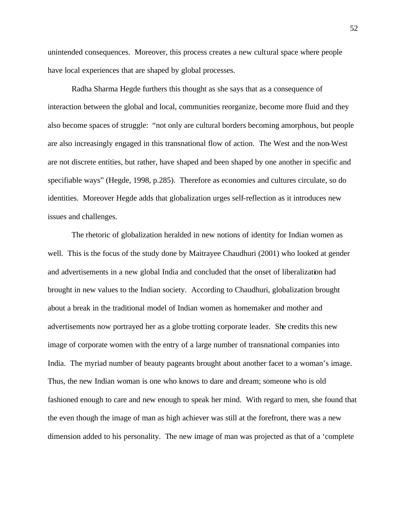unintended consequences. Moreover, this process creates a new cultural space where people have local experiences that are shaped by global processes.

Radha Sharma Hegde furthers this thought as she says that as a consequence of interaction between the global and local, communities reorganize, become more fluid and they also become spaces of struggle: "not only are cultural borders becoming amorphous, but people are also increasingly engaged in this transnational flow of action. The West and the non-West are not discrete entities, but rather, have shaped and been shaped by one another in specific and specifiable ways" (Hegde, 1998, p.285). Therefore as economies and cultures circulate, so do identities. Moreover Hegde adds that globalization urges self-reflection as it introduces new issues and challenges.

The rhetoric of globalization heralded in new notions of identity for Indian women as well. This is the focus of the study done by Maitrayee Chaudhuri (2001) who looked at gender and advertisements in a new global India and concluded that the onset of liberalization had brought in new values to the Indian society. According to Chaudhuri, globalization brought about a break in the traditional model of Indian women as homemaker and mother and advertisements now portrayed her as a globe trotting corporate leader. She credits this new image of corporate women with the entry of a large number of transnational companies into India. The myriad number of beauty pageants brought about another facet to a woman's image. Thus, the new Indian woman is one who knows to dare and dream; someone who is old fashioned enough to care and new enough to speak her mind. With regard to men, she found that the even though the image of man as high achiever was still at the forefront, there was a new dimension added to his personality. The new image of man was projected as that of a 'complete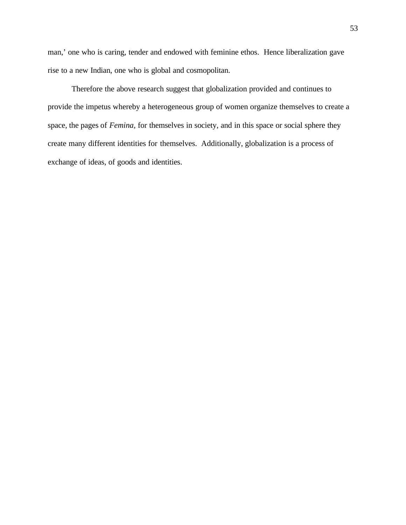man,' one who is caring, tender and endowed with feminine ethos. Hence liberalization gave rise to a new Indian, one who is global and cosmopolitan.

Therefore the above research suggest that globalization provided and continues to provide the impetus whereby a heterogeneous group of women organize themselves to create a space, the pages of *Femina*, for themselves in society, and in this space or social sphere they create many different identities for themselves. Additionally, globalization is a process of exchange of ideas, of goods and identities.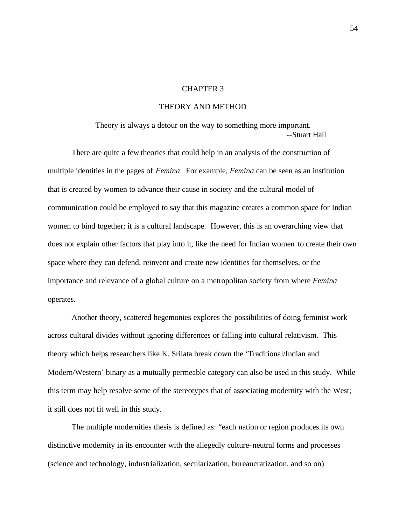## CHAPTER 3

# THEORY AND METHOD

Theory is always a detour on the way to something more important. --Stuart Hall

There are quite a few theories that could help in an analysis of the construction of multiple identities in the pages of *Femina*. For example, *Femina* can be seen as an institution that is created by women to advance their cause in society and the cultural model of communication could be employed to say that this magazine creates a common space for Indian women to bind together; it is a cultural landscape. However, this is an overarching view that does not explain other factors that play into it, like the need for Indian women to create their own space where they can defend, reinvent and create new identities for themselves, or the importance and relevance of a global culture on a metropolitan society from where *Femina* operates.

Another theory, scattered hegemonies explores the possibilities of doing feminist work across cultural divides without ignoring differences or falling into cultural relativism. This theory which helps researchers like K. Srilata break down the 'Traditional/Indian and Modern/Western' binary as a mutually permeable category can also be used in this study. While this term may help resolve some of the stereotypes that of associating modernity with the West; it still does not fit well in this study.

The multiple modernities thesis is defined as: "each nation or region produces its own distinctive modernity in its encounter with the allegedly culture-neutral forms and processes (science and technology, industrialization, secularization, bureaucratization, and so on)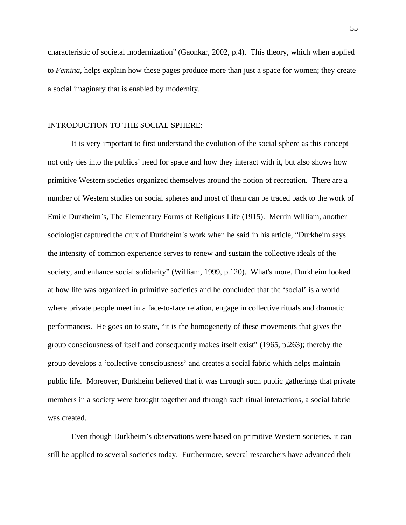characteristic of societal modernization" (Gaonkar, 2002, p.4). This theory, which when applied to *Femina*, helps explain how these pages produce more than just a space for women; they create a social imaginary that is enabled by modernity.

### INTRODUCTION TO THE SOCIAL SPHERE:

It is very important to first understand the evolution of the social sphere as this concept not only ties into the publics' need for space and how they interact with it, but also shows how primitive Western societies organized themselves around the notion of recreation. There are a number of Western studies on social spheres and most of them can be traced back to the work of Emile Durkheim`s, The Elementary Forms of Religious Life (1915). Merrin William, another sociologist captured the crux of Durkheim`s work when he said in his article, "Durkheim says the intensity of common experience serves to renew and sustain the collective ideals of the society, and enhance social solidarity" (William, 1999, p.120). What's more, Durkheim looked at how life was organized in primitive societies and he concluded that the 'social' is a world where private people meet in a face-to-face relation, engage in collective rituals and dramatic performances. He goes on to state, "it is the homogeneity of these movements that gives the group consciousness of itself and consequently makes itself exist" (1965, p.263); thereby the group develops a 'collective consciousness' and creates a social fabric which helps maintain public life. Moreover, Durkheim believed that it was through such public gatherings that private members in a society were brought together and through such ritual interactions, a social fabric was created.

Even though Durkheim's observations were based on primitive Western societies, it can still be applied to several societies today. Furthermore, several researchers have advanced their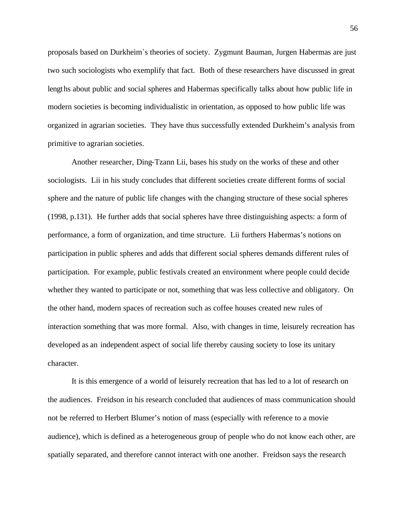proposals based on Durkheim`s theories of society. Zygmunt Bauman, Jurgen Habermas are just two such sociologists who exemplify that fact. Both of these researchers have discussed in great lengths about public and social spheres and Habermas specifically talks about how public life in modern societies is becoming individualistic in orientation, as opposed to how public life was organized in agrarian societies. They have thus successfully extended Durkheim's analysis from primitive to agrarian societies.

Another researcher, Ding-Tzann Lii, bases his study on the works of these and other sociologists. Lii in his study concludes that different societies create different forms of social sphere and the nature of public life changes with the changing structure of these social spheres (1998, p.131). He further adds that social spheres have three distinguishing aspects: a form of performance, a form of organization, and time structure. Lii furthers Habermas's notions on participation in public spheres and adds that different social spheres demands different rules of participation. For example, public festivals created an environment where people could decide whether they wanted to participate or not, something that was less collective and obligatory. On the other hand, modern spaces of recreation such as coffee houses created new rules of interaction something that was more formal. Also, with changes in time, leisurely recreation has developed as an independent aspect of social life thereby causing society to lose its unitary character.

It is this emergence of a world of leisurely recreation that has led to a lot of research on the audiences. Freidson in his research concluded that audiences of mass communication should not be referred to Herbert Blumer's notion of mass (especially with reference to a movie audience), which is defined as a heterogeneous group of people who do not know each other, are spatially separated, and therefore cannot interact with one another. Freidson says the research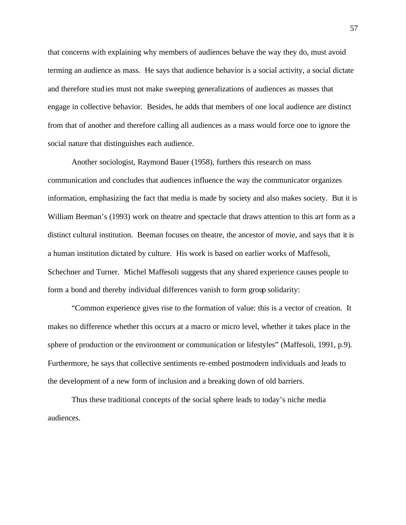that concerns with explaining why members of audiences behave the way they do, must avoid terming an audience as mass. He says that audience behavior is a social activity, a social dictate and therefore studies must not make sweeping generalizations of audiences as masses that engage in collective behavior. Besides, he adds that members of one local audience are distinct from that of another and therefore calling all audiences as a mass would force one to ignore the social nature that distinguishes each audience.

Another sociologist, Raymond Bauer (1958), furthers this research on mass communication and concludes that audiences influence the way the communicator organizes information, emphasizing the fact that media is made by society and also makes society. But it is William Beeman's (1993) work on theatre and spectacle that draws attention to this art form as a distinct cultural institution. Beeman focuses on theatre, the ancestor of movie, and says that it is a human institution dictated by culture. His work is based on earlier works of Maffesoli, Schechner and Turner. Michel Maffesoli suggests that any shared experience causes people to form a bond and thereby individual differences vanish to form group solidarity:

"Common experience gives rise to the formation of value: this is a vector of creation. It makes no difference whether this occurs at a macro or micro level, whether it takes place in the sphere of production or the environment or communication or lifestyles" (Maffesoli, 1991, p.9). Furthermore, he says that collective sentiments re-embed postmodern individuals and leads to the development of a new form of inclusion and a breaking down of old barriers.

Thus these traditional concepts of the social sphere leads to today's niche media audiences.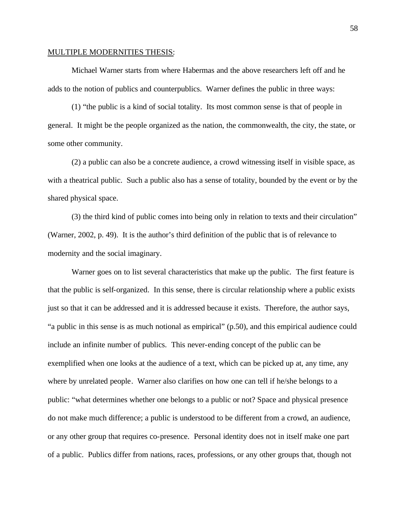#### MULTIPLE MODERNITIES THESIS:

Michael Warner starts from where Habermas and the above researchers left off and he adds to the notion of publics and counterpublics. Warner defines the public in three ways:

(1) "the public is a kind of social totality. Its most common sense is that of people in general. It might be the people organized as the nation, the commonwealth, the city, the state, or some other community.

(2) a public can also be a concrete audience, a crowd witnessing itself in visible space, as with a theatrical public. Such a public also has a sense of totality, bounded by the event or by the shared physical space.

(3) the third kind of public comes into being only in relation to texts and their circulation" (Warner, 2002, p. 49). It is the author's third definition of the public that is of relevance to modernity and the social imaginary.

Warner goes on to list several characteristics that make up the public. The first feature is that the public is self-organized. In this sense, there is circular relationship where a public exists just so that it can be addressed and it is addressed because it exists. Therefore, the author says, "a public in this sense is as much notional as empirical" (p.50), and this empirical audience could include an infinite number of publics. This never-ending concept of the public can be exemplified when one looks at the audience of a text, which can be picked up at, any time, any where by unrelated people. Warner also clarifies on how one can tell if he/she belongs to a public: "what determines whether one belongs to a public or not? Space and physical presence do not make much difference; a public is understood to be different from a crowd, an audience, or any other group that requires co-presence. Personal identity does not in itself make one part of a public. Publics differ from nations, races, professions, or any other groups that, though not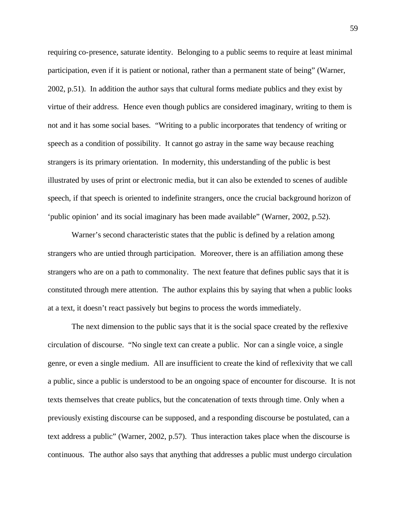requiring co-presence, saturate identity. Belonging to a public seems to require at least minimal participation, even if it is patient or notional, rather than a permanent state of being" (Warner, 2002, p.51). In addition the author says that cultural forms mediate publics and they exist by virtue of their address. Hence even though publics are considered imaginary, writing to them is not and it has some social bases. "Writing to a public incorporates that tendency of writing or speech as a condition of possibility. It cannot go astray in the same way because reaching strangers is its primary orientation. In modernity, this understanding of the public is best illustrated by uses of print or electronic media, but it can also be extended to scenes of audible speech, if that speech is oriented to indefinite strangers, once the crucial background horizon of 'public opinion' and its social imaginary has been made available" (Warner, 2002, p.52).

Warner's second characteristic states that the public is defined by a relation among strangers who are untied through participation. Moreover, there is an affiliation among these strangers who are on a path to commonality. The next feature that defines public says that it is constituted through mere attention. The author explains this by saying that when a public looks at a text, it doesn't react passively but begins to process the words immediately.

The next dimension to the public says that it is the social space created by the reflexive circulation of discourse. "No single text can create a public. Nor can a single voice, a single genre, or even a single medium. All are insufficient to create the kind of reflexivity that we call a public, since a public is understood to be an ongoing space of encounter for discourse. It is not texts themselves that create publics, but the concatenation of texts through time. Only when a previously existing discourse can be supposed, and a responding discourse be postulated, can a text address a public" (Warner, 2002, p.57). Thus interaction takes place when the discourse is continuous. The author also says that anything that addresses a public must undergo circulation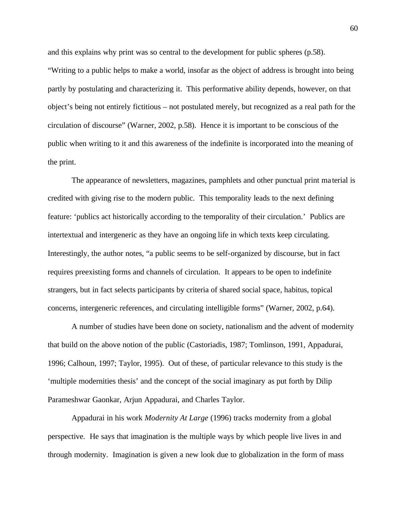and this explains why print was so central to the development for public spheres (p.58). "Writing to a public helps to make a world, insofar as the object of address is brought into being partly by postulating and characterizing it. This performative ability depends, however, on that object's being not entirely fictitious – not postulated merely, but recognized as a real path for the circulation of discourse" (Warner, 2002, p.58). Hence it is important to be conscious of the public when writing to it and this awareness of the indefinite is incorporated into the meaning of the print.

The appearance of newsletters, magazines, pamphlets and other punctual print ma terial is credited with giving rise to the modern public. This temporality leads to the next defining feature: 'publics act historically according to the temporality of their circulation.' Publics are intertextual and intergeneric as they have an ongoing life in which texts keep circulating. Interestingly, the author notes, "a public seems to be self-organized by discourse, but in fact requires preexisting forms and channels of circulation. It appears to be open to indefinite strangers, but in fact selects participants by criteria of shared social space, habitus, topical concerns, intergeneric references, and circulating intelligible forms" (Warner, 2002, p.64).

A number of studies have been done on society, nationalism and the advent of modernity that build on the above notion of the public (Castoriadis, 1987; Tomlinson, 1991, Appadurai, 1996; Calhoun, 1997; Taylor, 1995). Out of these, of particular relevance to this study is the 'multiple modernities thesis' and the concept of the social imaginary as put forth by Dilip Parameshwar Gaonkar, Arjun Appadurai, and Charles Taylor.

Appadurai in his work *Modernity At Large* (1996) tracks modernity from a global perspective. He says that imagination is the multiple ways by which people live lives in and through modernity. Imagination is given a new look due to globalization in the form of mass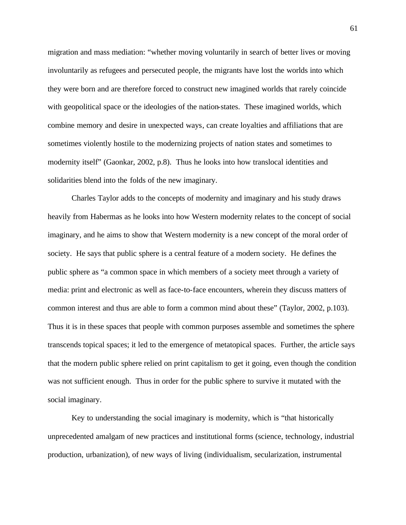migration and mass mediation: "whether moving voluntarily in search of better lives or moving involuntarily as refugees and persecuted people, the migrants have lost the worlds into which they were born and are therefore forced to construct new imagined worlds that rarely coincide with geopolitical space or the ideologies of the nation-states. These imagined worlds, which combine memory and desire in unexpected ways, can create loyalties and affiliations that are sometimes violently hostile to the modernizing projects of nation states and sometimes to modernity itself" (Gaonkar, 2002, p.8). Thus he looks into how translocal identities and solidarities blend into the folds of the new imaginary.

Charles Taylor adds to the concepts of modernity and imaginary and his study draws heavily from Habermas as he looks into how Western modernity relates to the concept of social imaginary, and he aims to show that Western modernity is a new concept of the moral order of society. He says that public sphere is a central feature of a modern society. He defines the public sphere as "a common space in which members of a society meet through a variety of media: print and electronic as well as face-to-face encounters, wherein they discuss matters of common interest and thus are able to form a common mind about these" (Taylor, 2002, p.103). Thus it is in these spaces that people with common purposes assemble and sometimes the sphere transcends topical spaces; it led to the emergence of metatopical spaces. Further, the article says that the modern public sphere relied on print capitalism to get it going, even though the condition was not sufficient enough. Thus in order for the public sphere to survive it mutated with the social imaginary.

Key to understanding the social imaginary is modernity, which is "that historically unprecedented amalgam of new practices and institutional forms (science, technology, industrial production, urbanization), of new ways of living (individualism, secularization, instrumental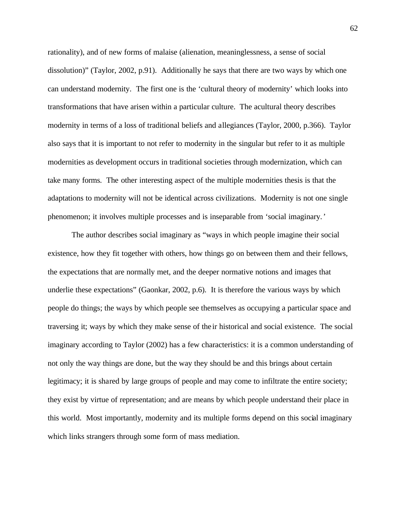rationality), and of new forms of malaise (alienation, meaninglessness, a sense of social dissolution)" (Taylor, 2002, p.91). Additionally he says that there are two ways by which one can understand modernity. The first one is the 'cultural theory of modernity' which looks into transformations that have arisen within a particular culture. The acultural theory describes modernity in terms of a loss of traditional beliefs and allegiances (Taylor, 2000, p.366). Taylor also says that it is important to not refer to modernity in the singular but refer to it as multiple modernities as development occurs in traditional societies through modernization, which can take many forms. The other interesting aspect of the multiple modernities thesis is that the adaptations to modernity will not be identical across civilizations. Modernity is not one single phenomenon; it involves multiple processes and is inseparable from 'social imaginary.'

The author describes social imaginary as "ways in which people imagine their social existence, how they fit together with others, how things go on between them and their fellows, the expectations that are normally met, and the deeper normative notions and images that underlie these expectations" (Gaonkar, 2002, p.6). It is therefore the various ways by which people do things; the ways by which people see themselves as occupying a particular space and traversing it; ways by which they make sense of the ir historical and social existence. The social imaginary according to Taylor (2002) has a few characteristics: it is a common understanding of not only the way things are done, but the way they should be and this brings about certain legitimacy; it is shared by large groups of people and may come to infiltrate the entire society; they exist by virtue of representation; and are means by which people understand their place in this world. Most importantly, modernity and its multiple forms depend on this social imaginary which links strangers through some form of mass mediation.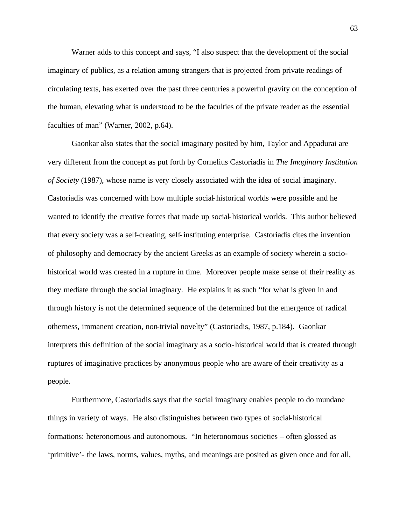Warner adds to this concept and says, "I also suspect that the development of the social imaginary of publics, as a relation among strangers that is projected from private readings of circulating texts, has exerted over the past three centuries a powerful gravity on the conception of the human, elevating what is understood to be the faculties of the private reader as the essential faculties of man" (Warner, 2002, p.64).

Gaonkar also states that the social imaginary posited by him, Taylor and Appadurai are very different from the concept as put forth by Cornelius Castoriadis in *The Imaginary Institution of Society* (1987), whose name is very closely associated with the idea of social imaginary. Castoriadis was concerned with how multiple social-historical worlds were possible and he wanted to identify the creative forces that made up social-historical worlds. This author believed that every society was a self-creating, self-instituting enterprise. Castoriadis cites the invention of philosophy and democracy by the ancient Greeks as an example of society wherein a sociohistorical world was created in a rupture in time. Moreover people make sense of their reality as they mediate through the social imaginary. He explains it as such "for what is given in and through history is not the determined sequence of the determined but the emergence of radical otherness, immanent creation, non-trivial novelty" (Castoriadis, 1987, p.184). Gaonkar interprets this definition of the social imaginary as a socio-historical world that is created through ruptures of imaginative practices by anonymous people who are aware of their creativity as a people.

Furthermore, Castoriadis says that the social imaginary enables people to do mundane things in variety of ways. He also distinguishes between two types of social-historical formations: heteronomous and autonomous. "In heteronomous societies – often glossed as 'primitive'- the laws, norms, values, myths, and meanings are posited as given once and for all,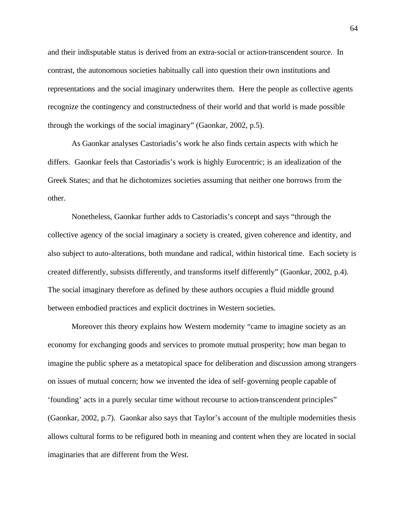and their indisputable status is derived from an extra-social or action-transcendent source. In contrast, the autonomous societies habitually call into question their own institutions and representations and the social imaginary underwrites them. Here the people as collective agents recognize the contingency and constructedness of their world and that world is made possible through the workings of the social imaginary" (Gaonkar, 2002, p.5).

As Gaonkar analyses Castoriadis's work he also finds certain aspects with which he differs. Gaonkar feels that Castoriadis's work is highly Eurocentric; is an idealization of the Greek States; and that he dichotomizes societies assuming that neither one borrows from the other.

Nonetheless, Gaonkar further adds to Castoriadis's concept and says "through the collective agency of the social imaginary a society is created, given coherence and identity, and also subject to auto-alterations, both mundane and radical, within historical time. Each society is created differently, subsists differently, and transforms itself differently" (Gaonkar, 2002, p.4). The social imaginary therefore as defined by these authors occupies a fluid middle ground between embodied practices and explicit doctrines in Western societies.

Moreover this theory explains how Western modernity "came to imagine society as an economy for exchanging goods and services to promote mutual prosperity; how man began to imagine the public sphere as a metatopical space for deliberation and discussion among strangers on issues of mutual concern; how we invented the idea of self-governing people capable of 'founding' acts in a purely secular time without recourse to action-transcendent principles" (Gaonkar, 2002, p.7). Gaonkar also says that Taylor's account of the multiple modernities thesis allows cultural forms to be refigured both in meaning and content when they are located in social imaginaries that are different from the West.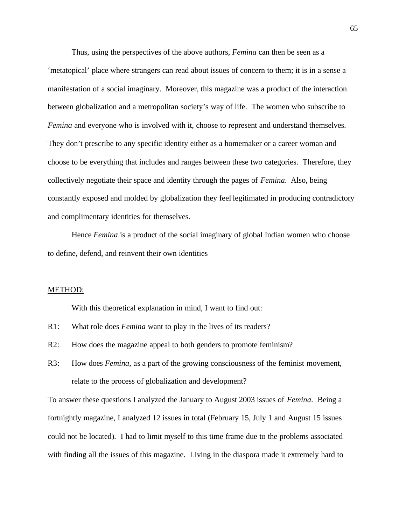Thus, using the perspectives of the above authors, *Femina* can then be seen as a 'metatopical' place where strangers can read about issues of concern to them; it is in a sense a manifestation of a social imaginary. Moreover, this magazine was a product of the interaction between globalization and a metropolitan society's way of life. The women who subscribe to *Femina* and everyone who is involved with it, choose to represent and understand themselves. They don't prescribe to any specific identity either as a homemaker or a career woman and choose to be everything that includes and ranges between these two categories. Therefore, they collectively negotiate their space and identity through the pages of *Femina*. Also, being constantly exposed and molded by globalization they feel legitimated in producing contradictory and complimentary identities for themselves.

Hence *Femina* is a product of the social imaginary of global Indian women who choose to define, defend, and reinvent their own identities

### METHOD:

With this theoretical explanation in mind, I want to find out:

- R1: What role does *Femina* want to play in the lives of its readers?
- R2: How does the magazine appeal to both genders to promote feminism?
- R3: How does *Femina*, as a part of the growing consciousness of the feminist movement, relate to the process of globalization and development?

To answer these questions I analyzed the January to August 2003 issues of *Femina*. Being a fortnightly magazine, I analyzed 12 issues in total (February 15, July 1 and August 15 issues could not be located). I had to limit myself to this time frame due to the problems associated with finding all the issues of this magazine. Living in the diaspora made it extremely hard to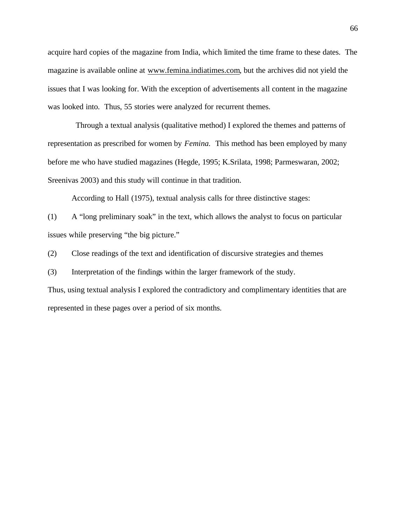acquire hard copies of the magazine from India, which limited the time frame to these dates. The magazine is available online at www.femina.indiatimes.com, but the archives did not yield the issues that I was looking for. With the exception of advertisements all content in the magazine was looked into. Thus, 55 stories were analyzed for recurrent themes.

 Through a textual analysis (qualitative method) I explored the themes and patterns of representation as prescribed for women by *Femina.* This method has been employed by many before me who have studied magazines (Hegde, 1995; K.Srilata, 1998; Parmeswaran, 2002; Sreenivas 2003) and this study will continue in that tradition.

According to Hall (1975), textual analysis calls for three distinctive stages:

(1) A "long preliminary soak" in the text, which allows the analyst to focus on particular issues while preserving "the big picture."

(2) Close readings of the text and identification of discursive strategies and themes

(3) Interpretation of the findings within the larger framework of the study.

Thus, using textual analysis I explored the contradictory and complimentary identities that are represented in these pages over a period of six months.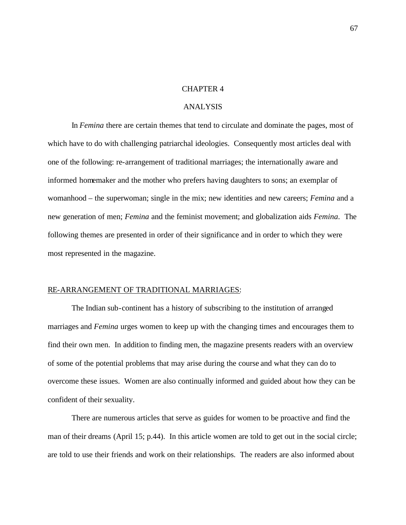#### CHAPTER 4

# ANALYSIS

In *Femina* there are certain themes that tend to circulate and dominate the pages, most of which have to do with challenging patriarchal ideologies. Consequently most articles deal with one of the following: re-arrangement of traditional marriages; the internationally aware and informed homemaker and the mother who prefers having daughters to sons; an exemplar of womanhood – the superwoman; single in the mix; new identities and new careers; *Femina* and a new generation of men; *Femina* and the feminist movement; and globalization aids *Femina*. The following themes are presented in order of their significance and in order to which they were most represented in the magazine.

### RE-ARRANGEMENT OF TRADITIONAL MARRIAGES:

The Indian sub-continent has a history of subscribing to the institution of arranged marriages and *Femina* urges women to keep up with the changing times and encourages them to find their own men. In addition to finding men, the magazine presents readers with an overview of some of the potential problems that may arise during the course and what they can do to overcome these issues. Women are also continually informed and guided about how they can be confident of their sexuality.

There are numerous articles that serve as guides for women to be proactive and find the man of their dreams (April 15; p.44). In this article women are told to get out in the social circle; are told to use their friends and work on their relationships. The readers are also informed about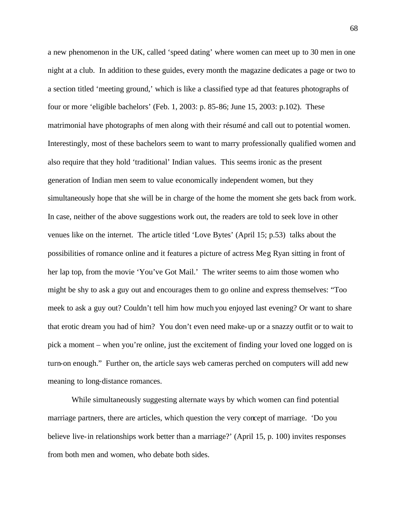a new phenomenon in the UK, called 'speed dating' where women can meet up to 30 men in one night at a club. In addition to these guides, every month the magazine dedicates a page or two to a section titled 'meeting ground,' which is like a classified type ad that features photographs of four or more 'eligible bachelors' (Feb. 1, 2003: p. 85-86; June 15, 2003: p.102). These matrimonial have photographs of men along with their résumé and call out to potential women. Interestingly, most of these bachelors seem to want to marry professionally qualified women and also require that they hold 'traditional' Indian values. This seems ironic as the present generation of Indian men seem to value economically independent women, but they simultaneously hope that she will be in charge of the home the moment she gets back from work. In case, neither of the above suggestions work out, the readers are told to seek love in other venues like on the internet. The article titled 'Love Bytes' (April 15; p.53) talks about the possibilities of romance online and it features a picture of actress Meg Ryan sitting in front of her lap top, from the movie 'You've Got Mail.' The writer seems to aim those women who might be shy to ask a guy out and encourages them to go online and express themselves: "Too meek to ask a guy out? Couldn't tell him how much you enjoyed last evening? Or want to share that erotic dream you had of him? You don't even need make-up or a snazzy outfit or to wait to pick a moment – when you're online, just the excitement of finding your loved one logged on is turn-on enough." Further on, the article says web cameras perched on computers will add new meaning to long-distance romances.

While simultaneously suggesting alternate ways by which women can find potential marriage partners, there are articles, which question the very concept of marriage. 'Do you believe live-in relationships work better than a marriage?' (April 15, p. 100) invites responses from both men and women, who debate both sides.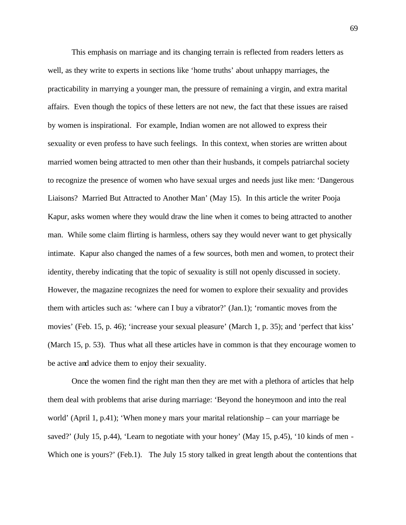This emphasis on marriage and its changing terrain is reflected from readers letters as well, as they write to experts in sections like 'home truths' about unhappy marriages, the practicability in marrying a younger man, the pressure of remaining a virgin, and extra marital affairs. Even though the topics of these letters are not new, the fact that these issues are raised by women is inspirational. For example, Indian women are not allowed to express their sexuality or even profess to have such feelings. In this context, when stories are written about married women being attracted to men other than their husbands, it compels patriarchal society to recognize the presence of women who have sexual urges and needs just like men: 'Dangerous Liaisons? Married But Attracted to Another Man' (May 15). In this article the writer Pooja Kapur, asks women where they would draw the line when it comes to being attracted to another man. While some claim flirting is harmless, others say they would never want to get physically intimate. Kapur also changed the names of a few sources, both men and women, to protect their identity, thereby indicating that the topic of sexuality is still not openly discussed in society. However, the magazine recognizes the need for women to explore their sexuality and provides them with articles such as: 'where can I buy a vibrator?' (Jan.1); 'romantic moves from the movies' (Feb. 15, p. 46); 'increase your sexual pleasure' (March 1, p. 35); and 'perfect that kiss' (March 15, p. 53). Thus what all these articles have in common is that they encourage women to be active and advice them to enjoy their sexuality.

Once the women find the right man then they are met with a plethora of articles that help them deal with problems that arise during marriage: 'Beyond the honeymoon and into the real world' (April 1, p.41); 'When money mars your marital relationship – can your marriage be saved?' (July 15, p.44), 'Learn to negotiate with your honey' (May 15, p.45), '10 kinds of men -Which one is yours?' (Feb.1). The July 15 story talked in great length about the contentions that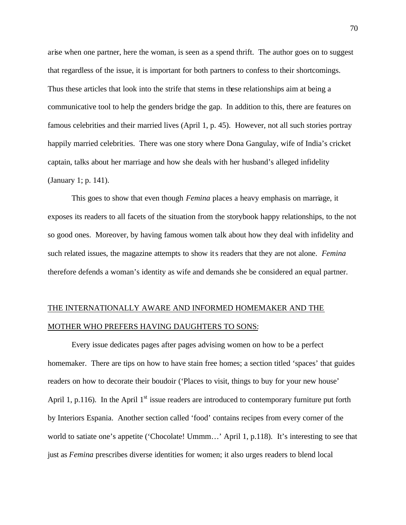arise when one partner, here the woman, is seen as a spend thrift. The author goes on to suggest that regardless of the issue, it is important for both partners to confess to their shortcomings. Thus these articles that look into the strife that stems in these relationships aim at being a communicative tool to help the genders bridge the gap. In addition to this, there are features on famous celebrities and their married lives (April 1, p. 45). However, not all such stories portray happily married celebrities. There was one story where Dona Gangulay, wife of India's cricket captain, talks about her marriage and how she deals with her husband's alleged infidelity (January 1; p. 141).

This goes to show that even though *Femina* places a heavy emphasis on marriage, it exposes its readers to all facets of the situation from the storybook happy relationships, to the not so good ones. Moreover, by having famous women talk about how they deal with infidelity and such related issues, the magazine attempts to show its readers that they are not alone. *Femina* therefore defends a woman's identity as wife and demands she be considered an equal partner.

# THE INTERNATIONALLY AWARE AND INFORMED HOMEMAKER AND THE MOTHER WHO PREFERS HAVING DAUGHTERS TO SONS:

Every issue dedicates pages after pages advising women on how to be a perfect homemaker. There are tips on how to have stain free homes; a section titled 'spaces' that guides readers on how to decorate their boudoir ('Places to visit, things to buy for your new house' April 1, p.116). In the April  $1<sup>st</sup>$  issue readers are introduced to contemporary furniture put forth by Interiors Espania. Another section called 'food' contains recipes from every corner of the world to satiate one's appetite ('Chocolate! Ummm...' April 1, p.118). It's interesting to see that just as *Femina* prescribes diverse identities for women; it also urges readers to blend local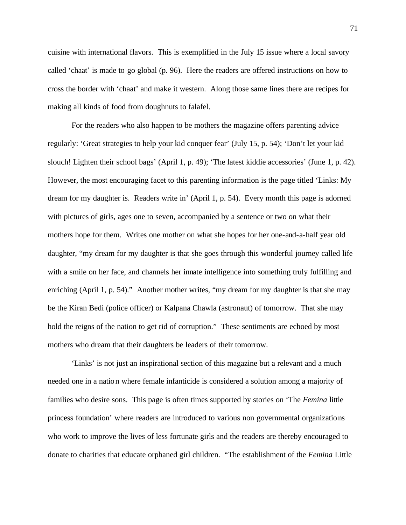cuisine with international flavors. This is exemplified in the July 15 issue where a local savory called 'chaat' is made to go global (p. 96). Here the readers are offered instructions on how to cross the border with 'chaat' and make it western. Along those same lines there are recipes for making all kinds of food from doughnuts to falafel.

For the readers who also happen to be mothers the magazine offers parenting advice regularly: 'Great strategies to help your kid conquer fear' (July 15, p. 54); 'Don't let your kid slouch! Lighten their school bags' (April 1, p. 49); 'The latest kiddie accessories' (June 1, p. 42). However, the most encouraging facet to this parenting information is the page titled 'Links: My dream for my daughter is. Readers write in' (April 1, p. 54). Every month this page is adorned with pictures of girls, ages one to seven, accompanied by a sentence or two on what their mothers hope for them. Writes one mother on what she hopes for her one-and-a-half year old daughter, "my dream for my daughter is that she goes through this wonderful journey called life with a smile on her face, and channels her innate intelligence into something truly fulfilling and enriching (April 1, p. 54)." Another mother writes, "my dream for my daughter is that she may be the Kiran Bedi (police officer) or Kalpana Chawla (astronaut) of tomorrow. That she may hold the reigns of the nation to get rid of corruption." These sentiments are echoed by most mothers who dream that their daughters be leaders of their tomorrow.

'Links' is not just an inspirational section of this magazine but a relevant and a much needed one in a nation where female infanticide is considered a solution among a majority of families who desire sons. This page is often times supported by stories on 'The *Femina* little princess foundation' where readers are introduced to various non governmental organizations who work to improve the lives of less fortunate girls and the readers are thereby encouraged to donate to charities that educate orphaned girl children. "The establishment of the *Femina* Little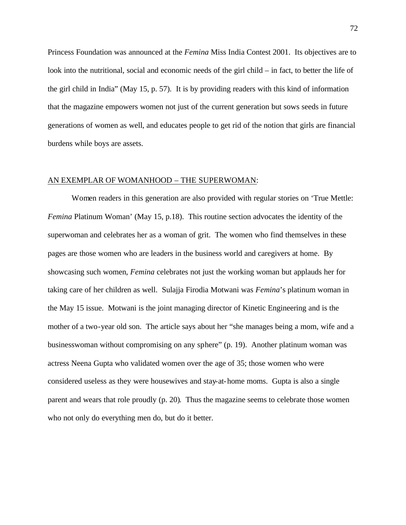Princess Foundation was announced at the *Femina* Miss India Contest 2001. Its objectives are to look into the nutritional, social and economic needs of the girl child – in fact, to better the life of the girl child in India" (May 15, p. 57). It is by providing readers with this kind of information that the magazine empowers women not just of the current generation but sows seeds in future generations of women as well, and educates people to get rid of the notion that girls are financial burdens while boys are assets.

#### AN EXEMPLAR OF WOMANHOOD – THE SUPERWOMAN:

Women readers in this generation are also provided with regular stories on 'True Mettle: *Femina* Platinum Woman' (May 15, p.18). This routine section advocates the identity of the superwoman and celebrates her as a woman of grit. The women who find themselves in these pages are those women who are leaders in the business world and caregivers at home. By showcasing such women, *Femina* celebrates not just the working woman but applauds her for taking care of her children as well. Sulajja Firodia Motwani was *Femina*'s platinum woman in the May 15 issue. Motwani is the joint managing director of Kinetic Engineering and is the mother of a two-year old son. The article says about her "she manages being a mom, wife and a businesswoman without compromising on any sphere" (p. 19). Another platinum woman was actress Neena Gupta who validated women over the age of 35; those women who were considered useless as they were housewives and stay-at-home moms. Gupta is also a single parent and wears that role proudly (p. 20). Thus the magazine seems to celebrate those women who not only do everything men do, but do it better.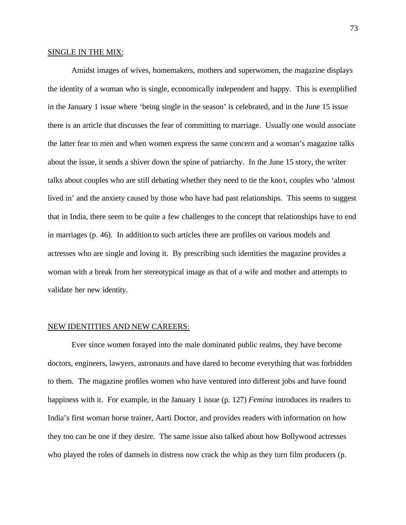# SINGLE IN THE MIX:

Amidst images of wives, homemakers, mothers and superwomen, the magazine displays the identity of a woman who is single, economically independent and happy. This is exemplified in the January 1 issue where 'being single in the season' is celebrated, and in the June 15 issue there is an article that discusses the fear of committing to marriage. Usually one would associate the latter fear to men and when women express the same concern and a woman's magazine talks about the issue, it sends a shiver down the spine of patriarchy. In the June 15 story, the writer talks about couples who are still debating whether they need to tie the knot, couples who 'almost lived in' and the anxiety caused by those who have had past relationships. This seems to suggest that in India, there seem to be quite a few challenges to the concept that relationships have to end in marriages (p. 46). In addition to such articles there are profiles on various models and actresses who are single and loving it. By prescribing such identities the magazine provides a woman with a break from her stereotypical image as that of a wife and mother and attempts to validate her new identity.

#### NEW IDENTITIES AND NEW CAREERS:

Ever since women forayed into the male dominated public realms, they have become doctors, engineers, lawyers, astronauts and have dared to become everything that was forbidden to them. The magazine profiles women who have ventured into different jobs and have found happiness with it. For example, in the January 1 issue (p. 127) *Femina* introduces its readers to India's first woman horse trainer, Aarti Doctor, and provides readers with information on how they too can be one if they desire. The same issue also talked about how Bollywood actresses who played the roles of damsels in distress now crack the whip as they turn film producers (p.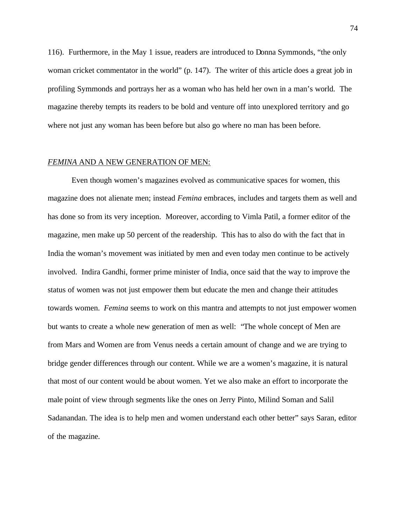116). Furthermore, in the May 1 issue, readers are introduced to Donna Symmonds, "the only woman cricket commentator in the world" (p. 147). The writer of this article does a great job in profiling Symmonds and portrays her as a woman who has held her own in a man's world. The magazine thereby tempts its readers to be bold and venture off into unexplored territory and go where not just any woman has been before but also go where no man has been before.

# *FEMINA* AND A NEW GENERATION OF MEN:

Even though women's magazines evolved as communicative spaces for women, this magazine does not alienate men; instead *Femina* embraces, includes and targets them as well and has done so from its very inception. Moreover, according to Vimla Patil, a former editor of the magazine, men make up 50 percent of the readership. This has to also do with the fact that in India the woman's movement was initiated by men and even today men continue to be actively involved. Indira Gandhi, former prime minister of India, once said that the way to improve the status of women was not just empower them but educate the men and change their attitudes towards women. *Femina* seems to work on this mantra and attempts to not just empower women but wants to create a whole new generation of men as well: "The whole concept of Men are from Mars and Women are from Venus needs a certain amount of change and we are trying to bridge gender differences through our content. While we are a women's magazine, it is natural that most of our content would be about women. Yet we also make an effort to incorporate the male point of view through segments like the ones on Jerry Pinto, Milind Soman and Salil Sadanandan. The idea is to help men and women understand each other better" says Saran, editor of the magazine.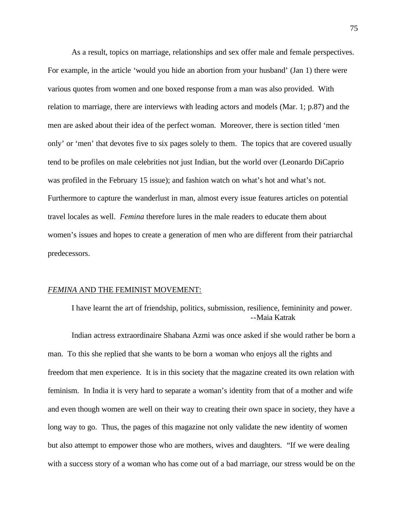As a result, topics on marriage, relationships and sex offer male and female perspectives. For example, in the article 'would you hide an abortion from your husband' (Jan 1) there were various quotes from women and one boxed response from a man was also provided. With relation to marriage, there are interviews with leading actors and models (Mar. 1; p.87) and the men are asked about their idea of the perfect woman. Moreover, there is section titled 'men only' or 'men' that devotes five to six pages solely to them. The topics that are covered usually tend to be profiles on male celebrities not just Indian, but the world over (Leonardo DiCaprio was profiled in the February 15 issue); and fashion watch on what's hot and what's not. Furthermore to capture the wanderlust in man, almost every issue features articles on potential travel locales as well. *Femina* therefore lures in the male readers to educate them about women's issues and hopes to create a generation of men who are different from their patriarchal predecessors.

# *FEMINA* AND THE FEMINIST MOVEMENT:

I have learnt the art of friendship, politics, submission, resilience, femininity and power. --Maia Katrak

Indian actress extraordinaire Shabana Azmi was once asked if she would rather be born a man. To this she replied that she wants to be born a woman who enjoys all the rights and freedom that men experience. It is in this society that the magazine created its own relation with feminism. In India it is very hard to separate a woman's identity from that of a mother and wife and even though women are well on their way to creating their own space in society, they have a long way to go. Thus, the pages of this magazine not only validate the new identity of women but also attempt to empower those who are mothers, wives and daughters. "If we were dealing with a success story of a woman who has come out of a bad marriage, our stress would be on the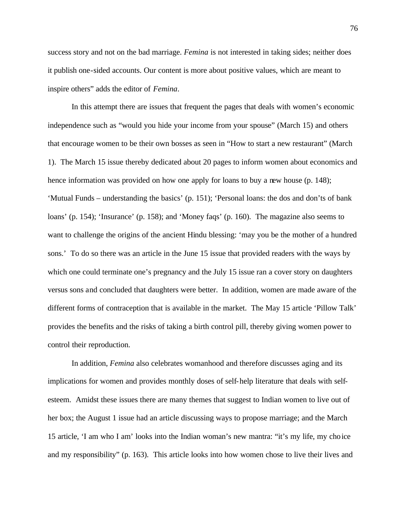success story and not on the bad marriage. *Femina* is not interested in taking sides; neither does it publish one-sided accounts. Our content is more about positive values, which are meant to inspire others" adds the editor of *Femina*.

In this attempt there are issues that frequent the pages that deals with women's economic independence such as "would you hide your income from your spouse" (March 15) and others that encourage women to be their own bosses as seen in "How to start a new restaurant" (March 1). The March 15 issue thereby dedicated about 20 pages to inform women about economics and hence information was provided on how one apply for loans to buy a new house (p. 148); 'Mutual Funds – understanding the basics' (p. 151); 'Personal loans: the dos and don'ts of bank loans' (p. 154); 'Insurance' (p. 158); and 'Money faqs' (p. 160). The magazine also seems to want to challenge the origins of the ancient Hindu blessing: 'may you be the mother of a hundred sons.' To do so there was an article in the June 15 issue that provided readers with the ways by which one could terminate one's pregnancy and the July 15 issue ran a cover story on daughters versus sons and concluded that daughters were better. In addition, women are made aware of the different forms of contraception that is available in the market. The May 15 article 'Pillow Talk' provides the benefits and the risks of taking a birth control pill, thereby giving women power to control their reproduction.

In addition, *Femina* also celebrates womanhood and therefore discusses aging and its implications for women and provides monthly doses of self-help literature that deals with selfesteem. Amidst these issues there are many themes that suggest to Indian women to live out of her box; the August 1 issue had an article discussing ways to propose marriage; and the March 15 article, 'I am who I am' looks into the Indian woman's new mantra: "it's my life, my choice and my responsibility" (p. 163). This article looks into how women chose to live their lives and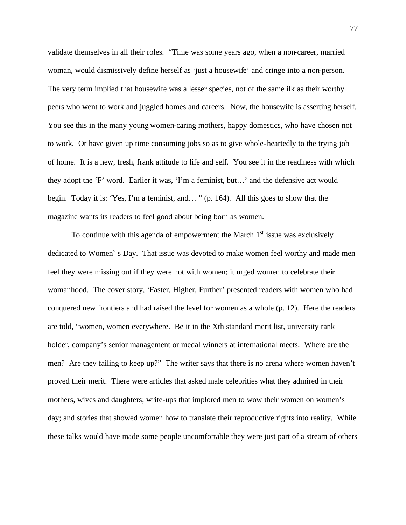validate themselves in all their roles. "Time was some years ago, when a non-career, married woman, would dismissively define herself as 'just a housewife' and cringe into a non-person. The very term implied that housewife was a lesser species, not of the same ilk as their worthy peers who went to work and juggled homes and careers. Now, the housewife is asserting herself. You see this in the many young women-caring mothers, happy domestics, who have chosen not to work. Or have given up time consuming jobs so as to give whole-heartedly to the trying job of home. It is a new, fresh, frank attitude to life and self. You see it in the readiness with which they adopt the 'F' word. Earlier it was, 'I'm a feminist, but…' and the defensive act would begin. Today it is: 'Yes, I'm a feminist, and… " (p. 164). All this goes to show that the magazine wants its readers to feel good about being born as women.

To continue with this agenda of empowerment the March  $1<sup>st</sup>$  issue was exclusively dedicated to Women` s Day. That issue was devoted to make women feel worthy and made men feel they were missing out if they were not with women; it urged women to celebrate their womanhood. The cover story, 'Faster, Higher, Further' presented readers with women who had conquered new frontiers and had raised the level for women as a whole (p. 12). Here the readers are told, "women, women everywhere. Be it in the Xth standard merit list, university rank holder, company's senior management or medal winners at international meets. Where are the men? Are they failing to keep up?" The writer says that there is no arena where women haven't proved their merit. There were articles that asked male celebrities what they admired in their mothers, wives and daughters; write-ups that implored men to wow their women on women's day; and stories that showed women how to translate their reproductive rights into reality. While these talks would have made some people uncomfortable they were just part of a stream of others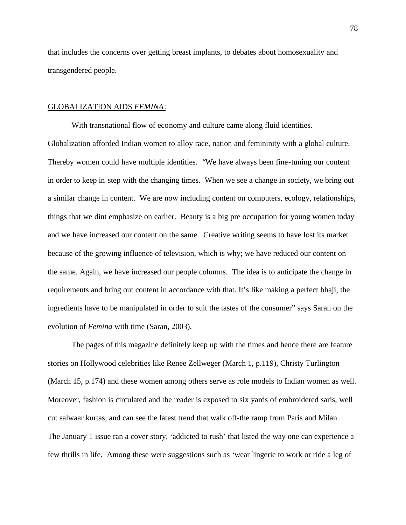that includes the concerns over getting breast implants, to debates about homosexuality and transgendered people.

# GLOBALIZATION AIDS *FEMINA*:

With transnational flow of economy and culture came along fluid identities. Globalization afforded Indian women to alloy race, nation and femininity with a global culture. Thereby women could have multiple identities. "We have always been fine-tuning our content in order to keep in step with the changing times. When we see a change in society, we bring out a similar change in content. We are now including content on computers, ecology, relationships, things that we dint emphasize on earlier. Beauty is a big pre occupation for young women today and we have increased our content on the same. Creative writing seems to have lost its market because of the growing influence of television, which is why; we have reduced our content on the same. Again, we have increased our people columns. The idea is to anticipate the change in requirements and bring out content in accordance with that. It's like making a perfect bhaji, the ingredients have to be manipulated in order to suit the tastes of the consumer" says Saran on the evolution of *Femina* with time (Saran, 2003).

The pages of this magazine definitely keep up with the times and hence there are feature stories on Hollywood celebrities like Renee Zellweger (March 1, p.119), Christy Turlington (March 15, p.174) and these women among others serve as role models to Indian women as well. Moreover, fashion is circulated and the reader is exposed to six yards of embroidered saris, well cut salwaar kurtas, and can see the latest trend that walk off-the ramp from Paris and Milan. The January 1 issue ran a cover story, 'addicted to rush' that listed the way one can experience a few thrills in life. Among these were suggestions such as 'wear lingerie to work or ride a leg of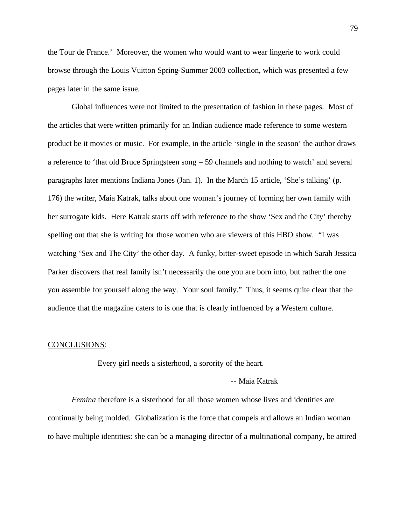the Tour de France.' Moreover, the women who would want to wear lingerie to work could browse through the Louis Vuitton Spring-Summer 2003 collection, which was presented a few pages later in the same issue.

Global influences were not limited to the presentation of fashion in these pages. Most of the articles that were written primarily for an Indian audience made reference to some western product be it movies or music. For example, in the article 'single in the season' the author draws a reference to 'that old Bruce Springsteen song – 59 channels and nothing to watch' and several paragraphs later mentions Indiana Jones (Jan. 1). In the March 15 article, 'She's talking' (p. 176) the writer, Maia Katrak, talks about one woman's journey of forming her own family with her surrogate kids. Here Katrak starts off with reference to the show 'Sex and the City' thereby spelling out that she is writing for those women who are viewers of this HBO show. "I was watching 'Sex and The City' the other day. A funky, bitter-sweet episode in which Sarah Jessica Parker discovers that real family isn't necessarily the one you are born into, but rather the one you assemble for yourself along the way. Your soul family." Thus, it seems quite clear that the audience that the magazine caters to is one that is clearly influenced by a Western culture.

#### CONCLUSIONS:

Every girl needs a sisterhood, a sorority of the heart.

# -- Maia Katrak

*Femina* therefore is a sisterhood for all those women whose lives and identities are continually being molded. Globalization is the force that compels and allows an Indian woman to have multiple identities: she can be a managing director of a multinational company, be attired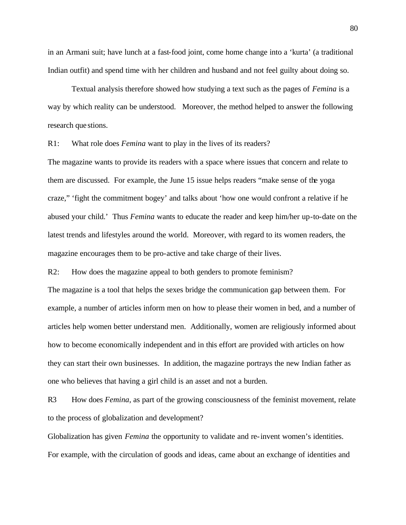in an Armani suit; have lunch at a fast-food joint, come home change into a 'kurta' (a traditional Indian outfit) and spend time with her children and husband and not feel guilty about doing so.

Textual analysis therefore showed how studying a text such as the pages of *Femina* is a way by which reality can be understood. Moreover, the method helped to answer the following research que stions.

R1: What role does *Femina* want to play in the lives of its readers?

The magazine wants to provide its readers with a space where issues that concern and relate to them are discussed. For example, the June 15 issue helps readers "make sense of the yoga craze," 'fight the commitment bogey' and talks about 'how one would confront a relative if he abused your child.' Thus *Femina* wants to educate the reader and keep him/her up-to-date on the latest trends and lifestyles around the world. Moreover, with regard to its women readers, the magazine encourages them to be pro-active and take charge of their lives.

R2: How does the magazine appeal to both genders to promote feminism?

The magazine is a tool that helps the sexes bridge the communication gap between them. For example, a number of articles inform men on how to please their women in bed, and a number of articles help women better understand men. Additionally, women are religiously informed about how to become economically independent and in this effort are provided with articles on how they can start their own businesses. In addition, the magazine portrays the new Indian father as one who believes that having a girl child is an asset and not a burden.

R3 How does *Femina*, as part of the growing consciousness of the feminist movement, relate to the process of globalization and development?

Globalization has given *Femina* the opportunity to validate and re-invent women's identities. For example, with the circulation of goods and ideas, came about an exchange of identities and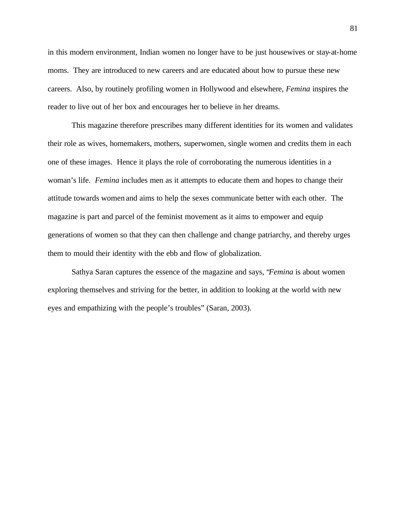in this modern environment, Indian women no longer have to be just housewives or stay-at-home moms. They are introduced to new careers and are educated about how to pursue these new careers. Also, by routinely profiling women in Hollywood and elsewhere, *Femina* inspires the reader to live out of her box and encourages her to believe in her dreams.

This magazine therefore prescribes many different identities for its women and validates their role as wives, homemakers, mothers, superwomen, single women and credits them in each one of these images. Hence it plays the role of corroborating the numerous identities in a woman's life. *Femina* includes men as it attempts to educate them and hopes to change their attitude towards women and aims to help the sexes communicate better with each other. The magazine is part and parcel of the feminist movement as it aims to empower and equip generations of women so that they can then challenge and change patriarchy, and thereby urges them to mould their identity with the ebb and flow of globalization.

Sathya Saran captures the essence of the magazine and says, "*Femina* is about women exploring themselves and striving for the better, in addition to looking at the world with new eyes and empathizing with the people's troubles" (Saran, 2003).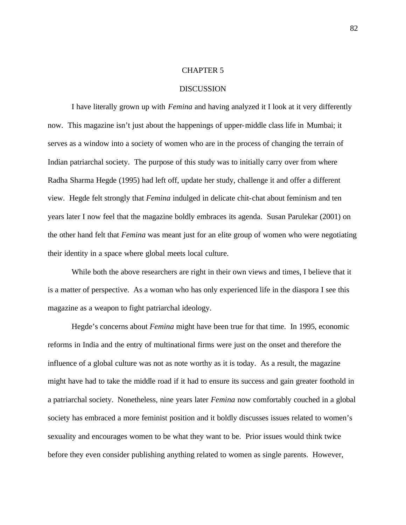# CHAPTER 5

# **DISCUSSION**

I have literally grown up with *Femina* and having analyzed it I look at it very differently now. This magazine isn't just about the happenings of upper-middle class life in Mumbai; it serves as a window into a society of women who are in the process of changing the terrain of Indian patriarchal society. The purpose of this study was to initially carry over from where Radha Sharma Hegde (1995) had left off, update her study, challenge it and offer a different view. Hegde felt strongly that *Femina* indulged in delicate chit-chat about feminism and ten years later I now feel that the magazine boldly embraces its agenda. Susan Parulekar (2001) on the other hand felt that *Femina* was meant just for an elite group of women who were negotiating their identity in a space where global meets local culture.

While both the above researchers are right in their own views and times, I believe that it is a matter of perspective. As a woman who has only experienced life in the diaspora I see this magazine as a weapon to fight patriarchal ideology.

Hegde's concerns about *Femina* might have been true for that time. In 1995, economic reforms in India and the entry of multinational firms were just on the onset and therefore the influence of a global culture was not as note worthy as it is today. As a result, the magazine might have had to take the middle road if it had to ensure its success and gain greater foothold in a patriarchal society. Nonetheless, nine years later *Femina* now comfortably couched in a global society has embraced a more feminist position and it boldly discusses issues related to women's sexuality and encourages women to be what they want to be. Prior issues would think twice before they even consider publishing anything related to women as single parents. However,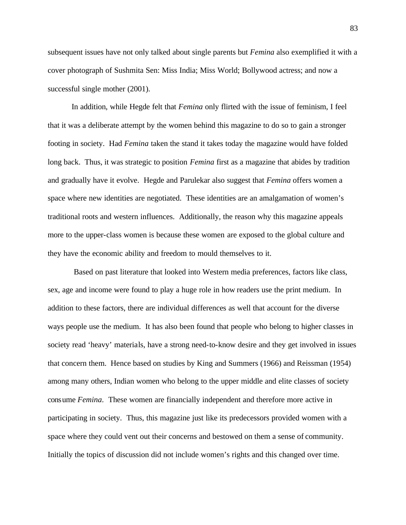subsequent issues have not only talked about single parents but *Femina* also exemplified it with a cover photograph of Sushmita Sen: Miss India; Miss World; Bollywood actress; and now a successful single mother (2001).

In addition, while Hegde felt that *Femina* only flirted with the issue of feminism, I feel that it was a deliberate attempt by the women behind this magazine to do so to gain a stronger footing in society. Had *Femina* taken the stand it takes today the magazine would have folded long back. Thus, it was strategic to position *Femina* first as a magazine that abides by tradition and gradually have it evolve. Hegde and Parulekar also suggest that *Femina* offers women a space where new identities are negotiated. These identities are an amalgamation of women's traditional roots and western influences. Additionally, the reason why this magazine appeals more to the upper-class women is because these women are exposed to the global culture and they have the economic ability and freedom to mould themselves to it.

 Based on past literature that looked into Western media preferences, factors like class, sex, age and income were found to play a huge role in how readers use the print medium. In addition to these factors, there are individual differences as well that account for the diverse ways people use the medium. It has also been found that people who belong to higher classes in society read 'heavy' materials, have a strong need-to-know desire and they get involved in issues that concern them. Hence based on studies by King and Summers (1966) and Reissman (1954) among many others, Indian women who belong to the upper middle and elite classes of society consume *Femina*. These women are financially independent and therefore more active in participating in society. Thus, this magazine just like its predecessors provided women with a space where they could vent out their concerns and bestowed on them a sense of community. Initially the topics of discussion did not include women's rights and this changed over time.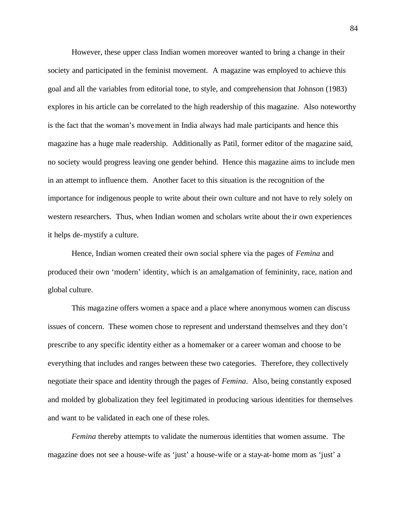However, these upper class Indian women moreover wanted to bring a change in their society and participated in the feminist movement. A magazine was employed to achieve this goal and all the variables from editorial tone, to style, and comprehension that Johnson (1983) explores in his article can be correlated to the high readership of this magazine. Also noteworthy is the fact that the woman's movement in India always had male participants and hence this magazine has a huge male readership. Additionally as Patil, former editor of the magazine said, no society would progress leaving one gender behind. Hence this magazine aims to include men in an attempt to influence them. Another facet to this situation is the recognition of the importance for indigenous people to write about their own culture and not have to rely solely on western researchers. Thus, when Indian women and scholars write about the ir own experiences it helps de-mystify a culture.

Hence, Indian women created their own social sphere via the pages of *Femina* and produced their own 'modern' identity, which is an amalgamation of femininity, race, nation and global culture.

This magazine offers women a space and a place where anonymous women can discuss issues of concern. These women chose to represent and understand themselves and they don't prescribe to any specific identity either as a homemaker or a career woman and choose to be everything that includes and ranges between these two categories. Therefore, they collectively negotiate their space and identity through the pages of *Femina*. Also, being constantly exposed and molded by globalization they feel legitimated in producing various identities for themselves and want to be validated in each one of these roles.

*Femina* thereby attempts to validate the numerous identities that women assume. The magazine does not see a house-wife as 'just' a house-wife or a stay-at-home mom as 'just' a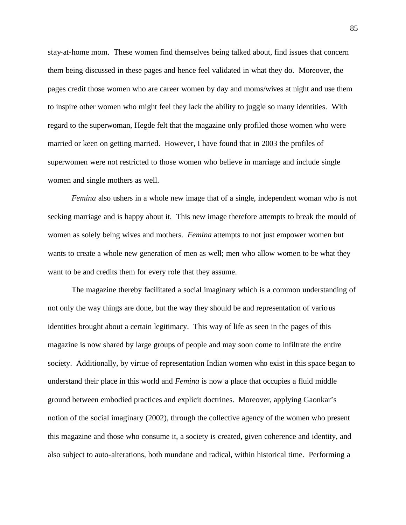stay-at-home mom. These women find themselves being talked about, find issues that concern them being discussed in these pages and hence feel validated in what they do. Moreover, the pages credit those women who are career women by day and moms/wives at night and use them to inspire other women who might feel they lack the ability to juggle so many identities. With regard to the superwoman, Hegde felt that the magazine only profiled those women who were married or keen on getting married. However, I have found that in 2003 the profiles of superwomen were not restricted to those women who believe in marriage and include single women and single mothers as well.

*Femina* also ushers in a whole new image that of a single, independent woman who is not seeking marriage and is happy about it. This new image therefore attempts to break the mould of women as solely being wives and mothers. *Femina* attempts to not just empower women but wants to create a whole new generation of men as well; men who allow women to be what they want to be and credits them for every role that they assume.

The magazine thereby facilitated a social imaginary which is a common understanding of not only the way things are done, but the way they should be and representation of various identities brought about a certain legitimacy. This way of life as seen in the pages of this magazine is now shared by large groups of people and may soon come to infiltrate the entire society. Additionally, by virtue of representation Indian women who exist in this space began to understand their place in this world and *Femina* is now a place that occupies a fluid middle ground between embodied practices and explicit doctrines. Moreover, applying Gaonkar's notion of the social imaginary (2002), through the collective agency of the women who present this magazine and those who consume it, a society is created, given coherence and identity, and also subject to auto-alterations, both mundane and radical, within historical time. Performing a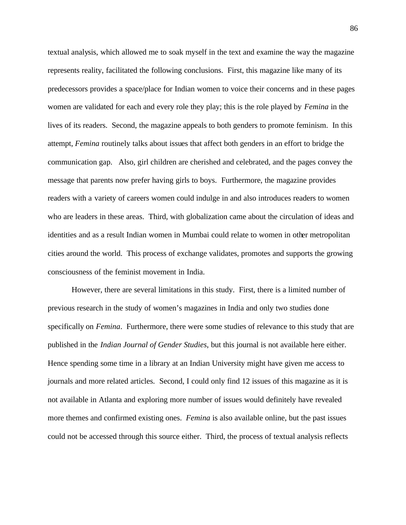textual analysis, which allowed me to soak myself in the text and examine the way the magazine represents reality, facilitated the following conclusions. First, this magazine like many of its predecessors provides a space/place for Indian women to voice their concerns and in these pages women are validated for each and every role they play; this is the role played by *Femina* in the lives of its readers. Second, the magazine appeals to both genders to promote feminism. In this attempt, *Femina* routinely talks about issues that affect both genders in an effort to bridge the communication gap. Also, girl children are cherished and celebrated, and the pages convey the message that parents now prefer having girls to boys. Furthermore, the magazine provides readers with a variety of careers women could indulge in and also introduces readers to women who are leaders in these areas. Third, with globalization came about the circulation of ideas and identities and as a result Indian women in Mumbai could relate to women in other metropolitan cities around the world. This process of exchange validates, promotes and supports the growing consciousness of the feminist movement in India.

However, there are several limitations in this study. First, there is a limited number of previous research in the study of women's magazines in India and only two studies done specifically on *Femina*. Furthermore, there were some studies of relevance to this study that are published in the *Indian Journal of Gender Studies*, but this journal is not available here either. Hence spending some time in a library at an Indian University might have given me access to journals and more related articles. Second, I could only find 12 issues of this magazine as it is not available in Atlanta and exploring more number of issues would definitely have revealed more themes and confirmed existing ones. *Femina* is also available online, but the past issues could not be accessed through this source either. Third, the process of textual analysis reflects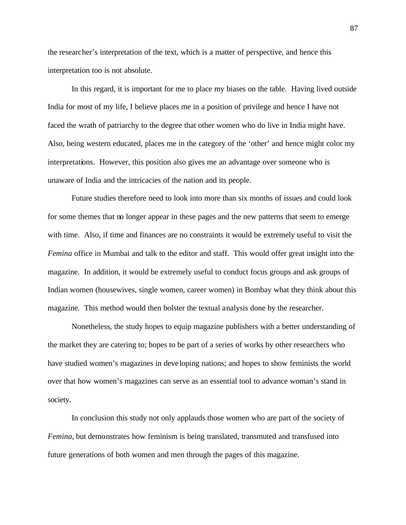the researcher's interpretation of the text, which is a matter of perspective, and hence this interpretation too is not absolute.

In this regard, it is important for me to place my biases on the table. Having lived outside India for most of my life, I believe places me in a position of privilege and hence I have not faced the wrath of patriarchy to the degree that other women who do live in India might have. Also, being western educated, places me in the category of the 'other' and hence might color my interpretations. However, this position also gives me an advantage over someone who is unaware of India and the intricacies of the nation and its people.

Future studies therefore need to look into more than six months of issues and could look for some themes that no longer appear in these pages and the new patterns that seem to emerge with time. Also, if time and finances are no constraints it would be extremely useful to visit the *Femina* office in Mumbai and talk to the editor and staff. This would offer great insight into the magazine. In addition, it would be extremely useful to conduct focus groups and ask groups of Indian women (housewives, single women, career women) in Bombay what they think about this magazine. This method would then bolster the textual analysis done by the researcher.

Nonetheless, the study hopes to equip magazine publishers with a better understanding of the market they are catering to; hopes to be part of a series of works by other researchers who have studied women's magazines in deve loping nations; and hopes to show feminists the world over that how women's magazines can serve as an essential tool to advance woman's stand in society.

In conclusion this study not only applauds those women who are part of the society of *Femina*, but demonstrates how feminism is being translated, transmuted and transfused into future generations of both women and men through the pages of this magazine.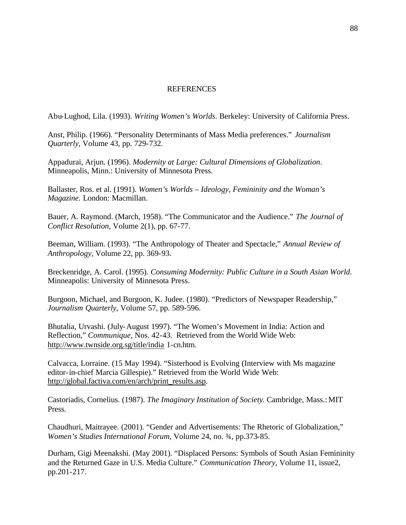# **REFERENCES**

Abu-Lughod, Lila. (1993). *Writing Women's Worlds*. Berkeley: University of California Press.

Anst, Philip. (1966). "Personality Determinants of Mass Media preferences." *Journalism Quarterly*, Volume 43, pp. 729-732.

Appadurai, Arjun. (1996). *Modernity at Large: Cultural Dimensions of Globalization*. Minneapolis, Minn.: University of Minnesota Press.

Ballaster, Ros. et al. (1991). *Women's Worlds – Ideology, Femininity and the Woman's Magazine*. London: Macmillan.

Bauer, A. Raymond. (March, 1958). "The Communicator and the Audience." *The Journal of Conflict Resolution*, Volume 2(1), pp. 67-77.

Beeman, William. (1993). "The Anthropology of Theater and Spectacle," *Annual Review of Anthropology*, Volume 22, pp. 369-93.

Breckenridge, A. Carol. (1995). *Consuming Modernity: Public Culture in a South Asian World*. Minneapolis: University of Minnesota Press.

Burgoon, Michael, and Burgoon, K. Judee. (1980). "Predictors of Newspaper Readership," *Journalism Quarterly*, Volume 57, pp. 589-596.

Bhutalia, Urvashi. (July-August 1997). "The Women's Movement in India: Action and Reflection," *Communique*, Nos. 42-43. Retrieved from the World Wide Web: http://www.twnside.org.sg/title/india 1-cn.htm.

Calvacca, Lorraine. (15 May 1994). "Sisterhood is Evolving (Interview with Ms magazine editor-in-chief Marcia Gillespie)." Retrieved from the World Wide Web: http://global.factiva.com/en/arch/print\_results.asp.

Castoriadis, Cornelius. (1987). *The Imaginary Institution of Society*. Cambridge, Mass.: MIT Press.

Chaudhuri, Maitrayee. (2001). "Gender and Advertisements: The Rhetoric of Globalization," *Women's Studies International Forum*, Volume 24, no. ¾, pp.373-85.

Durham, Gigi Meenakshi. (May 2001). "Displaced Persons: Symbols of South Asian Femininity and the Returned Gaze in U.S. Media Culture." *Communication Theory*, Volume 11, issue2, pp.201-217.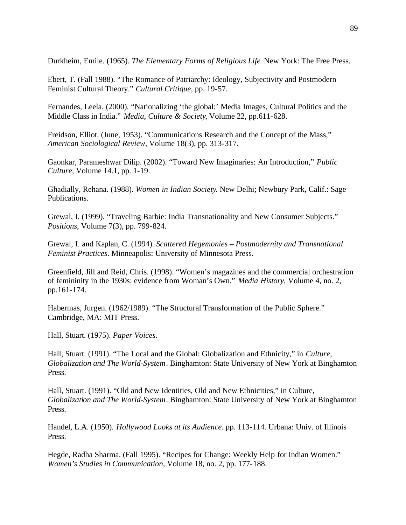Durkheim, Emile. (1965). *The Elementary Forms of Religious Life*. New York: The Free Press.

Ebert, T. (Fall 1988). "The Romance of Patriarchy: Ideology, Subjectivity and Postmodern Feminist Cultural Theory." *Cultural Critique*, pp. 19-57.

Fernandes, Leela. (2000). "Nationalizing 'the global:' Media Images, Cultural Politics and the Middle Class in India." *Media, Culture & Society*, Volume 22, pp.611-628.

Freidson, Elliot. (June, 1953). "Communications Research and the Concept of the Mass," *American Sociological Review*, Volume 18(3), pp. 313-317.

Gaonkar, Parameshwar Dilip. (2002). "Toward New Imaginaries: An Introduction," *Public Culture*, Volume 14.1, pp. 1-19.

Ghadially, Rehana. (1988). *Women in Indian Society*. New Delhi; Newbury Park, Calif.: Sage Publications.

Grewal, I. (1999). "Traveling Barbie: India Transnationality and New Consumer Subjects." *Positions*, Volume 7(3), pp. 799-824.

Grewal, I. and Kaplan, C. (1994). *Scattered Hegemonies – Postmodernity and Transnational Feminist Practices*. Minneapolis: University of Minnesota Press.

Greenfield, Jill and Reid, Chris. (1998). "Women's magazines and the commercial orchestration of femininity in the 1930s: evidence from Woman's Own." *Media History*, Volume 4, no. 2, pp.161-174.

Habermas, Jurgen. (1962/1989). "The Structural Transformation of the Public Sphere." Cambridge, MA: MIT Press.

Hall, Stuart. (1975). *Paper Voices*.

Hall, Stuart. (1991). "The Local and the Global: Globalization and Ethnicity," in *Culture, Globalization and The World-System*. Binghamton: State University of New York at Binghamton Press.

Hall, Stuart. (1991). "Old and New Identities, Old and New Ethnicities," in Culture, *Globalization and The World-System*. Binghamton: State University of New York at Binghamton Press.

Handel, L.A. (1950). *Hollywood Looks at its Audience*. pp. 113-114. Urbana: Univ. of Illinois Press.

Hegde, Radha Sharma. (Fall 1995). "Recipes for Change: Weekly Help for Indian Women." *Women's Studies in Communication*, Volume 18, no. 2, pp. 177-188.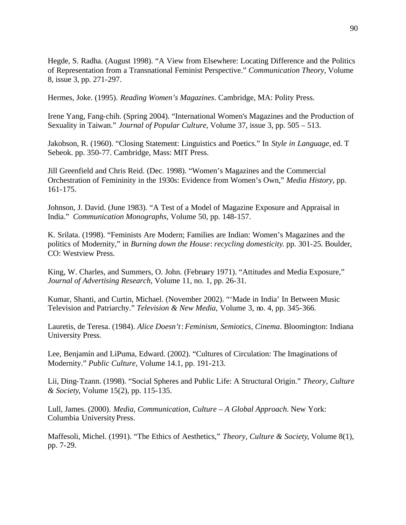Hegde, S. Radha. (August 1998). "A View from Elsewhere: Locating Difference and the Politics of Representation from a Transnational Feminist Perspective." *Communication Theory*, Volume 8, issue 3, pp. 271-297.

Hermes, Joke. (1995). *Reading Women's Magazines*. Cambridge, MA: Polity Press.

Irene Yang, Fang-chih. (Spring 2004). "International Women's Magazines and the Production of Sexuality in Taiwan." *Journal of Popular Culture*, Volume 37, issue 3, pp. 505 – 513.

Jakobson, R. (1960). "Closing Statement: Linguistics and Poetics." In *Style in Language*, ed. T Sebeok. pp. 350-77. Cambridge, Mass: MIT Press.

Jill Greenfield and Chris Reid. (Dec. 1998). "Women's Magazines and the Commercial Orchestration of Femininity in the 1930s: Evidence from Women's Own," *Media History*, pp. 161-175.

Johnson, J. David. (June 1983). "A Test of a Model of Magazine Exposure and Appraisal in India." *Communication Monographs*, Volume 50, pp. 148-157.

K. Srilata. (1998). "Feminists Are Modern; Families are Indian: Women's Magazines and the politics of Modernity," in *Burning down the House*: *recycling domesticity*. pp. 301-25. Boulder, CO: Westview Press.

King, W. Charles, and Summers, O. John. (February 1971). "Attitudes and Media Exposure," *Journal of Advertising Research*, Volume 11, no. 1, pp. 26-31.

Kumar, Shanti, and Curtin, Michael. (November 2002). "'Made in India' In Between Music Television and Patriarchy." *Television & New Media*, Volume 3, no. 4, pp. 345-366.

Lauretis, de Teresa. (1984). *Alice Doesn't*: *Feminism, Semiotics, Cinema*. Bloomington: Indiana University Press.

Lee, Benjamín and LiPuma, Edward. (2002). "Cultures of Circulation: The Imaginations of Modernity." *Public Culture*, Volume 14.1, pp. 191-213.

Lii, Ding-Tzann. (1998). "Social Spheres and Public Life: A Structural Origin." *Theory, Culture & Society*, Volume 15(2), pp. 115-135.

Lull, James. (2000). *Media, Communication, Culture – A Global Approach*. New York: Columbia University Press.

Maffesoli, Michel. (1991). "The Ethics of Aesthetics," *Theory, Culture & Society*, Volume 8(1), pp. 7-29.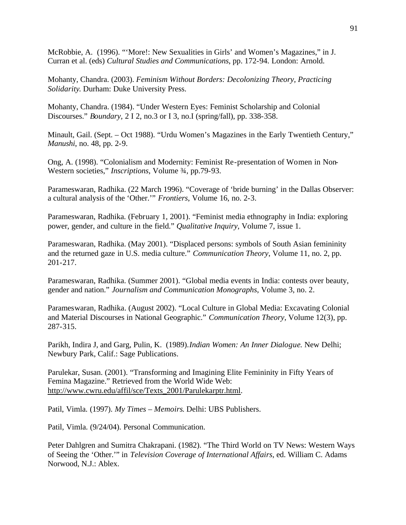McRobbie, A. (1996). "'More!: New Sexualities in Girls' and Women's Magazines," in J. Curran et al. (eds) *Cultural Studies and Communications*, pp. 172-94. London: Arnold.

Mohanty, Chandra. (2003). *Feminism Without Borders: Decolonizing Theory, Practicing Solidarity*. Durham: Duke University Press.

Mohanty, Chandra. (1984). "Under Western Eyes: Feminist Scholarship and Colonial Discourses." *Boundary,* 2 I 2, no.3 or I 3, no.I (spring/fall), pp. 338-358.

Minault, Gail. (Sept. – Oct 1988). "Urdu Women's Magazines in the Early Twentieth Century," *Manushi*, no. 48, pp. 2-9.

Ong, A. (1998). "Colonialism and Modernity: Feminist Re-presentation of Women in Non-Western societies," *Inscriptions*, Volume ¾, pp.79-93.

Parameswaran, Radhika. (22 March 1996). "Coverage of 'bride burning' in the Dallas Observer: a cultural analysis of the 'Other.'" *Frontiers*, Volume 16, no. 2-3.

Parameswaran, Radhika. (February 1, 2001). "Feminist media ethnography in India: exploring power, gender, and culture in the field." *Qualitative Inquiry*, Volume 7, issue 1.

Parameswaran, Radhika. (May 2001). "Displaced persons: symbols of South Asian femininity and the returned gaze in U.S. media culture." *Communication Theory*, Volume 11, no. 2, pp. 201-217.

Parameswaran, Radhika. (Summer 2001). "Global media events in India: contests over beauty, gender and nation." *Journalism and Communication Monographs*, Volume 3, no. 2.

Parameswaran, Radhika. (August 2002). "Local Culture in Global Media: Excavating Colonial and Material Discourses in National Geographic." *Communication Theory*, Volume 12(3), pp. 287-315.

Parikh, Indira J, and Garg, Pulin, K. (1989).*Indian Women: An Inner Dialogue*. New Delhi; Newbury Park, Calif.: Sage Publications.

Parulekar, Susan. (2001). "Transforming and Imagining Elite Femininity in Fifty Years of Femina Magazine." Retrieved from the World Wide Web: http://www.cwru.edu/affil/sce/Texts\_2001/Parulekarptr.html.

Patil, Vimla. (1997). *My Times – Memoirs*. Delhi: UBS Publishers.

Patil, Vimla. (9/24/04). Personal Communication.

Peter Dahlgren and Sumitra Chakrapani. (1982). "The Third World on TV News: Western Ways of Seeing the 'Other.'" in *Television Coverage of International Affairs*, ed. William C. Adams Norwood, N.J.: Ablex.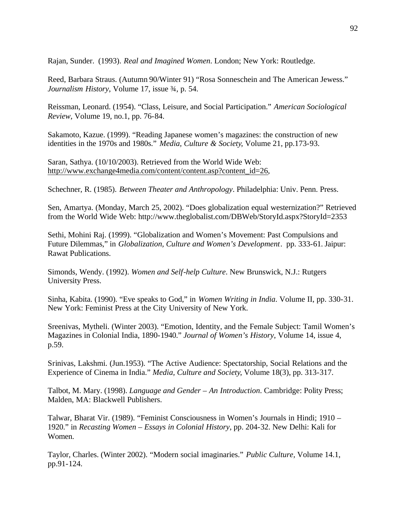Rajan, Sunder. (1993). *Real and Imagined Women*. London; New York: Routledge.

Reed, Barbara Straus. (Autumn 90/Winter 91) "Rosa Sonneschein and The American Jewess." *Journalism History*, Volume 17, issue ¾, p. 54.

Reissman, Leonard. (1954). "Class, Leisure, and Social Participation." *American Sociological Review*, Volume 19, no.1, pp. 76-84.

Sakamoto, Kazue. (1999). "Reading Japanese women's magazines: the construction of new identities in the 1970s and 1980s." *Media, Culture & Society*, Volume 21, pp.173-93.

Saran, Sathya. (10/10/2003). Retrieved from the World Wide Web: http://www.exchange4media.com/content/content.asp?content\_id=26,

Schechner, R. (1985). *Between Theater and Anthropology*. Philadelphia: Univ. Penn. Press.

Sen, Amartya. (Monday, March 25, 2002). "Does globalization equal westernization?" Retrieved from the World Wide Web: http://www.theglobalist.com/DBWeb/StoryId.aspx?StoryId=2353

Sethi, Mohini Raj. (1999). "Globalization and Women's Movement: Past Compulsions and Future Dilemmas," in *Globalization, Culture and Women's Development*.pp. 333-61. Jaipur: Rawat Publications.

Simonds, Wendy. (1992). *Women and Self-help Culture*. New Brunswick, N.J.: Rutgers University Press.

Sinha, Kabita. (1990). "Eve speaks to God," in *Women Writing in India*. Volume II, pp. 330-31. New York: Feminist Press at the City University of New York.

Sreenivas, Mytheli. (Winter 2003). "Emotion, Identity, and the Female Subject: Tamil Women's Magazines in Colonial India, 1890-1940." *Journal of Women's History*, Volume 14, issue 4, p.59.

Srinivas, Lakshmi. (Jun.1953). "The Active Audience: Spectatorship, Social Relations and the Experience of Cinema in India." *Media, Culture and Society*, Volume 18(3), pp. 313-317.

Talbot, M. Mary. (1998). *Language and Gender – An Introduction*. Cambridge: Polity Press; Malden, MA: Blackwell Publishers.

Talwar, Bharat Vir. (1989). "Feminist Consciousness in Women's Journals in Hindi; 1910 – 1920." in *Recasting Women – Essays in Colonial History*, pp. 204-32. New Delhi: Kali for Women.

Taylor, Charles. (Winter 2002). "Modern social imaginaries." *Public Culture,* Volume 14.1, pp.91-124.